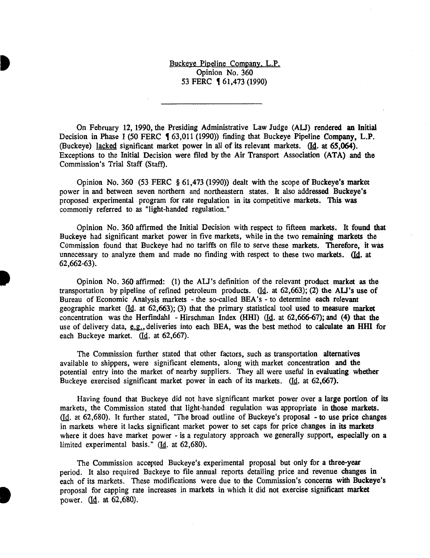Buckeye Pipeline Company. L.P. Opinion No. 360 53 FERC **[61,473 (1990)** 

On February 12, 1990, the Presiding Administrative Law Judge (AU) rendered an Initial Decision in Phase I (50 FERC 1 63,011 (1990)) finding that Buckeye Pipeline Company, L.P. (Buckeye) lacked significant market power in all of its relevant markets. (Id. at 65,064). Exceptions to the Initial Decision were filed by the Air Transport Association (ATA) and the Commission's Trial Staff (Staff).

Opinion No. 360 (53 FERC § 61,473 (1990)) dealt with the scope of Buckeye's market power in and between seven northern and northeastern states. It also addressed Buckeye's proposed experimental program for rate regulation in its competitive markets. This was commonly referred to as "light-handed regulation."

Opinion No. 360 affirmed the Initial Decision with respect to fifteen markets. It found that Buckeye had significant market power in five markets, while in the two remaining markets the Commission found that Buckeye had no tariffs on file to serve these markets. Therefore, it was unnecessary to analyze them and made no finding with respect to these two markets. (Id. at 62,662-63).

Opinion No. 360 affirmed: (1) the AU's definition of the relevant product market as the transportation by pipeline of refined petroleum products. ( $\underline{Id}$ , at 62,663); (2) the ALJ's use of Bureau of Economic Analysis markets - the so-called BEA's - to determine each relevant geographic market  $(Id.$  at  $62,663)$ ; (3) that the primary statistical tool used to measure market concentration was the Herfindahl - Hirschman Index (HHI)  $(Id.$  at 62,666-67); and (4) that the use of delivery data, e.g., deliveries into each BEA, was the best method to calculate an HHI for each Buckeye market.  $(Id. at 62, 667)$ .

The Commission further stated that other factors, such as transportation alternatives available to shippers, were significant elements, along with market concentration and the potential entry into the market of nearby suppliers. They all were useful in evaluating whether Buckeye exercised significant market power in each of its markets.  $(Id.$  at 62,667).

Having found that Buckeye did not have significant market power over a large portion of its markets, the Commission stated that light-handed regulation was appropriate in those markets. (Id. at 62,680). It further stated, "The broad outline of Buckeye's proposal - to use price changes in markets where it lacks significant market power to set caps for price changes in its markets where it does have market power - is a regulatory approach we generally support, especially on a limited experimental basis."  $(Id. at 62,680).$ 

The Commission accepted Buckeye's experimental proposal but only for a three-year period. It also required Buckeye to file annual reports detailing price and revenue changes in each of its markets. These modifications were due to the Commission's concerns with Buckeye's proposal for capping rate increases in markets in which it did not exercise significant market power. (Id. at 62,680).

**•**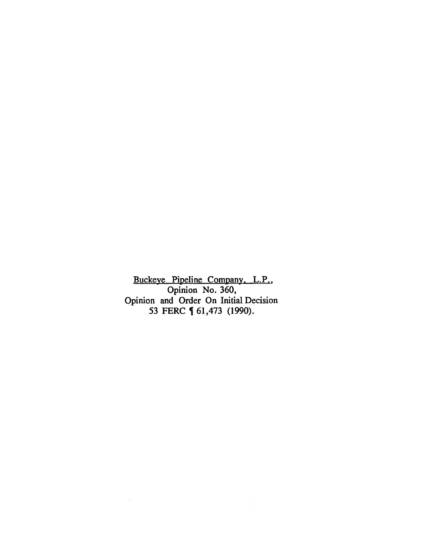Buckeye Pipeline Company. L.P., Opinion No. 360, Opinion and Order On Initial Decision 53 FERC **[** 61,473 (1990).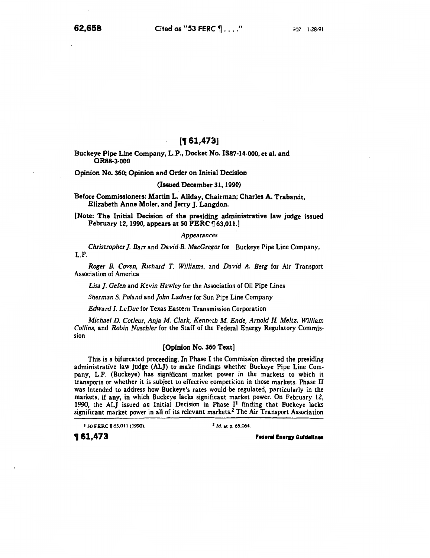# $[$  161,473]

Buckeye Pipe Line Company, L.P., Docket No. IS87-14-000, et al. and ORSB-3-000

Opinion No. 360; Opinion and Order on Initial Decision

# (Issued December 31, 1990)

Before Commissioners: Martin L. Allday, Chairman; Charles A. Trabandt, Elizabeth Anne Moler, and Jerry J. Langdon.

[Note: The Initial Decision of the presiding administrative law judge issued February 12, 1990, appears at 50 FERC  $\P$  63,011.]

### *Appearances*

*Christropher]. Barr* and *David B. MacGregorfor* Buckeye Pipe Line Company, L.P.

*Roger B. Coven, Richard T. Williams,* and *David A. Berg* for Air Transport Association of America

*Lisa]. Gefen* and *Kevin Hawley* for the Association of Oil Pipe Lines

*Sherman S. Poland* and *john Ladner* for Sun Pipe Line Company

*Edward I. LeDuc* for Texas Eastern Transmission Corporation

*Michael D. Cotleur, Anja M. Clark,* Kenn~th *M. Ende, Arnold H. Meltz, William Collins,* and *Robin Nuschler* for the Staff of the Federal Energy Regulatory Commission

# [Opinion No. 360 Text]

This is a bifurcated proceeding. In Phase I the Commission directed the presiding administrative law judge (ALJ) to make findings whether Buckeye Pipe Line Company, L.P. (Buckeye) has significant market power in the markets to which it transports or whether it is subject to effective competition in those markets. Phase II was intended to address how Buckeye's rates would be regulated, particularly in the markets, if any, in which Buckeye lacks significant market power. On February 12, 1990, the ALJ issued an Initial Decision in Phase I<sup>1</sup> finding that Buckeye lacks significant market power in all of its relevant markets.2 The Air Transport Association

1 50 FERC **1** 63,011 (1990).  $2 \text{ Id. at p. } 65,064$ .

 $\textcolor{red}{\textbf{\textcolor{blue}{\textbf{\textcolor{blue}{\textbf{\textcolor{blue}{\textbf{\textcolor{blue}{\textbf{\textcolor{blue}{\textbf{\textcolor{blue}{\textbf{\textcolor{blue}{\textbf{\textcolor{blue}{\textbf{\textcolor{blue}{\textbf{\textcolor{blue}{\textbf{\textcolor{blue}{\textbf{\textcolor{blue}{\textbf{\textcolor{blue}{\textbf{\textcolor{blue}{\textbf{\textcolor{blue}{\textbf{\textcolor{blue}{\textbf{\textcolor{blue}{\textbf{\textcolor{blue}{\textbf{\textcolor{blue}{\textbf{\textcolor{blue}{\textbf{\textcolor{blue}{\textbf{\textcolor{blue}{\textbf{\textcolor{blue}{\textbf{\textcolor{$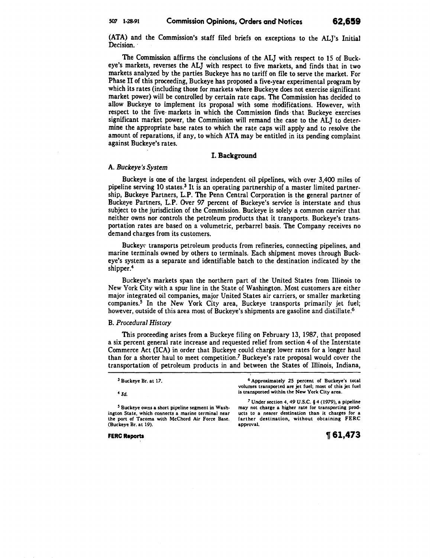(ATA) and the Commission's staff filed briefs on exceptions to the AL}'s Initial Decision.

The Commission affirms the conclusions of the ALJ with respect to 15 of Buckeye's markets, reverses the ALJ with respect to five markets, and finds that in two markets analyzed by the parties Buckeye has no tariff on file to serve the market. For Phase II of this proceeding, Buckeye has proposed a five-year experimental program by which its rates (including those for markets where Buckeye does not exercise significant market power) will be controlled by certain rate caps. The Commission has decided to allow Buckeye to implement its proposal with some modifications. However, with respect to the five· markets in which the Commission finds that Buckeye exercises significant market power, the Commission will remand the case to the ALJ to determine the appropriate base rates to which the rate caps will apply and to resolve the amount of reparations, if any, to which ATA may be entitled in its pending complaint against Buckeye's rates.

## I. Background

# A. *Buckeye's System*

Buckeye is one of the largest independent oil pipelines, with over 3,400 miles of pipeline serving 10 states.3 It is an operating partnership of a master limited partnership, Buckeye Partners, L.P. The Penn Central Corporation is the general partner of Buckeye Partners, L.P. Over *97* percent of Buckeye's service is interstate and thus subject to the jurisdiction of the Commission. Buckeye is solely a common carrier that neither owns nor controls the petroleum products that it transports. Buckeye's transportation rates are based on a volumetric, perbarrel basis. The Company receives no demand charges from its customers.

Buckey transports petroleum products from refineries, connecting pipelines, and marine terminals owned by others to terminals. Each shipment moves through Buckeye's system as a separate and identifiable batch to the destination indicated by the shipper.4

Buckeye's markets span the northern part of the United States from Illinois to New York City with a spur line in the State of Washington. Most customers are either major integrated oil companies, major United States air carriers, or smaller marketing companies.5 In the New York City area, Buckeye transports primarily jet fuel; however, outside of this area most of Buckeye's shipments are gasoline and distillate.<sup>6</sup>

# B. *Procedural History*

This proceeding arises from a Buckeye filing on February 13, 1987, that proposed a six percent general rate increase and requested relief from section 4 of the Interstate Commerce Act (ICA) in order that Buckeye could charge lower rates for a longer haul than for a shorter haul to meet competition.7 Buckeye's rate proposal would cover the transportation of petroleum products in and between the States of Illinois, Indiana,

| <sup>6</sup> Approximately 25 percent of Buckeye's total<br>volumes transported are jet fuel; most of this jet fuel                                                                                                          |  |
|------------------------------------------------------------------------------------------------------------------------------------------------------------------------------------------------------------------------------|--|
| is transported within the New York City area.                                                                                                                                                                                |  |
| <sup>7</sup> Under section 4, 49 U.S.C. $§$ 4 (1979), a pipeline<br>may not charge a higher rate for transporting prod-<br>ucts to a nearer destination than it charges for a<br>farther destination, without obtaining FERC |  |
| approval.                                                                                                                                                                                                                    |  |
|                                                                                                                                                                                                                              |  |

FERC Reports

~ 61,473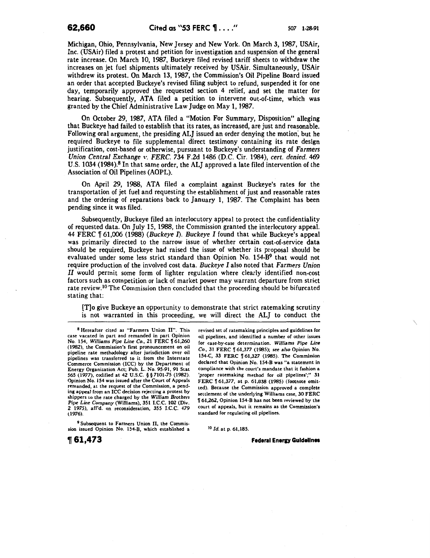Michigan, Ohio, Pennsylvania, New Jersey and New York. On March 3, 1987, USAir, Inc. (USAir) filed a protest and petition for investigation and suspension of the general rate increase. On March 10, 1987, Buckeye filed revised tariff sheets to withdraw the increases on jet fuel shipments ultimately received by USAir. Simultaneously, USAir withdrew its protest. On March 13, 1987, the Commission's Oil Pipeline Board issued an order that accepted Buckeye's revised filing subject to refund, suspended it for one day, temporarily approved the requested section 4 relief, and set the matter for hearing. Subsequently, ATA filed a petition to intervene out-of-time, which was granted by the Chief Administrative Law Judge on May 1, 1987.

On October 29, 1987, ATA filed a "Motion For Summary, Disposition" alleging that Buckeye had failed to establish that its rates, as increased, are just and reasonable. Following oral argument, the presiding ALJ issued an order denying the motion, but he required Buckeye to file supplemental direct testimony containing its rate design justification, cost-based or otherwise, pursuant to Buckeye's understanding of *Farmers Union Central Exchange* \'. *FERC.* 734 F.2d 1486 (D.C. Cir. 1984), *cert. denied.* 469 U.S. 1034 (1984).8 In that same order, the ALJ approved a late filed intervention of the Association of Oil Pipelines (AOPL).

On April 29, 1988, ATA filed a complaint against Buckeye's rates for the transportation of jet fuel and requesting the establishment of just and reasonable rates and the ordering of reparations back to January 1, 1987. The Complaint has been pending since it was filed.

Subsequently, Buckeye filed an interlocutory appeal to protect the confidentiality of requested data. On July 15, 1988, the Commission granted the interlocutory appeal. 44 FERC n 61,006 (1988) *(Buckeye* 1). *Buckeye I* found that while Buckeye's appeal was primarily directed to the narrow issue of whether certain cost-of-service data should be required, Buckeye had raised the issue of whether its proposal should be evaluated under some less strict standard than Opinion No. 154-B<sup>9</sup> that would not require production of the involved cost data. *Buckeye I* also noted that *Farmers Union*  II would permit some form of lighter regulation where clearly identified non-cost factors such as competition or lack of market power may warrant departure from strict rate review.<sup>10</sup> The Commission then concluded that the proceeding should be bifurcated stating that:

[T]o give Buckeye an opportunity to demonstrate that strict ratemaking scrutiny is not warranted in this proceeding, we will direct the ALJ to conduct the

8 Hereafter cited as "Farmers Union II". This case vacated in part and remanded in part Opinion No. 154, *Williams Pipe Line Co.*, 21 FERC  $\llbracket 61,260 \rrbracket$ (1982), the Commission's first pronouncement on oil pipeline rate methodology after jurisdiction over oil pipelines was transferred to it from the Interstate Commerce Commission (ICC) by the Department of Energy Organization Act; Pub. L. No. 95-91, 91 Stat 565 (1977). codified at 42 U.S.C. § § 7101-75 (1982). Opinion No. 154 was issued after the Court of Appeals remanded, at the request of the Commission, a pending appeal from an ICC decision rejecting a protest by shippers to the rate charged by the *William Brothers Pipe* Line Company (Williams), 351 I.C.C. 102 (Div. 2 1975), aff'd. on reconsideration, 355 I.C.C. 479 (1976).

9 Subsequent to Farmers Union II, the Commission issued Opinion No. 154-B, which established a revised set of ratemaking principles and guidelines for oil pipelines, and identified a number of other issues for case-by-case determination. *Williams Pipe Line Co.,* 31 FERC ~ 61,377 (1985); *see* a/so Opinion No. 154-C, 33 FERC | 61,327 (1985). The Commission declared that Opinion No. 154-8 was "a statement in compliance with the court's mandate that it fashion a 'proper ratemaking method for oil pipelines';" 31 FERC  $\sqrt{61,377}$ , at p. 61,838 (1985) (footnote omitted). Because the Commission approved a complete settlement of the underlying Williams case, 30 FERC <sup>~</sup>61,262, Opinion 154-B has not been reviewed by the court of appeals, but it remains as the Commission's standard for regulating oil pipelines.

<sup>10</sup>*Id.* at p. 61,185.

**Federal Energy Guidelines** 

**,61,473**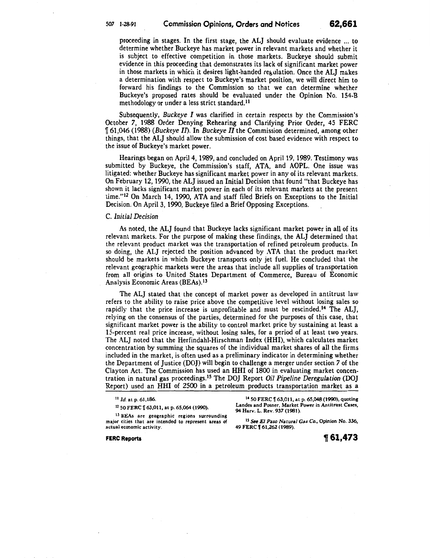proceeding in stages. In the first stage, the ALJ should evaluate evidence ... to determine whether Buckeye has market power in relevant markets and whether it is subject to effective competition in those markets. Buckeye should submit evidence in this proceeding that demonstrates its lack of significant market power in those markets in which it desires light-handed regulation. Once the ALJ makes a determination with respect to Buckeye's market position, we will direct him to forward his findings to the Commission so that we can determine whether Buckeye's proposed rates should be evaluated under the Opinion No. 154-B methodology or under a less strict standard.<sup>11</sup>

Subsequently, *Buckeye I* was clarified in certain respects by the Commission's October 7, 1988 Order Denying Rehearing and Clarifying Prior Order, 45 FERC <sup>~</sup>61,046 (1988) *(Buckeye 11).* In *Buckeye II* the Commission determined, among other things, that the ALJ should allow the submission of cost based evidence with respect to the issue of Buckeye's market power.

Hearings began on April4, 1989, and concluded on April 19, 1989. Testimony was submitted by Buckeye, the Commission's staff, ATA, and AOPL. One issue was litigated: whether Buckeye has significant market power in any of its relevant markets. On February 12, 1990, the ALJ issued an Initial Decision that found "that Buckeye has shown it lacks significant market power in each of its relevant markets at the present time." 12 On March 14, 1990, ATA and staff filed Briefs on Exceptions to the Initial Decision. On April3, 1990, Buckeye filed a Brief Opposing Exceptions.

# C. *Initial Decision*

As noted, the ALJ found that Buckeye lacks significant market power in all of its relevant markets. For the purpose of making these findings, the ALJ determined that the relevant product market was the transportation of refined petroleum products. In so doing, the ALJ rejected the position advanced by ATA that the product market should be markets in which Buckeye transports only jet fuel. He concluded that the relevant geographic markets were the areas that include all supplies of transportation from all origins to United States Department of Commerce, Bureau of Economic Analysis Economic Areas (BEAs).<sup>13</sup>

The ALJ stated that the concept of market power as developed in antitrust law refers to the ability to raise price above the competitive level without losing sales so rapidly that the price increase is unprofitable and must be rescinded.<sup>14</sup> The ALJ, relying on the consensus of the parties, determined for the purposes of this case, that significant market power is the ability to control market price by sustaining at least a IS-percent real price increase, without losing sales, for a period of at least two years. The ALJ noted that the Herfindahl-Hirschman Index (HHI), which calculates market concentration by summing the squares of the individual market shares of all the firms included in the market, is often used as a preliminary indicator in determining whether the Department of Justice (DOJ) will begin to challenge a merger under section *7* of the Clayton Act. The Commission has used an HHI of 1800 in evaluating market concentration in natural gas proceedings.15 The DOJ Report *Oil Pipeline Deregulation (DO]*  Report) used an HHI of 2500 in a petroleum products transportation market as a

<sup>11</sup>*ld.* at p. 61,186.

12 50 FERC  $[$  63,011, at p. 65,064 (1990).

<sup>13</sup> BEAs are geographic regions surrounding major cities that are intended to represent areas of actual economic activity.

FERC Reports

14 50 FERC | 63,011, at p. 65,048 (1990), quoting Landes and Posner, Market Power in Antitrust Cases, 94 Harv. L. Rev. 937 (1981).

15 See *El Paso Natural* Gas *Co.,* Opinion No. 336, 49 FERC | 61,262 (1989).

**1f61,473**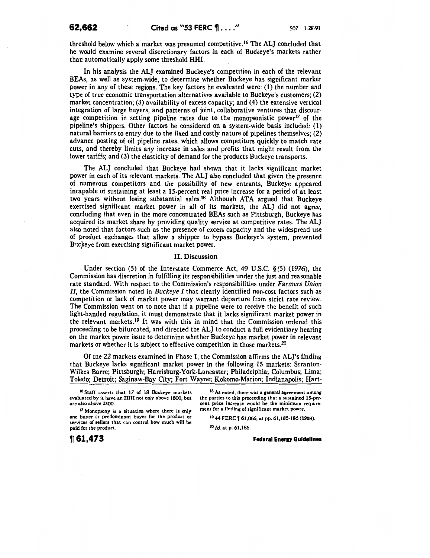threshold below which a market was presumed competitive.16 The ALJ concluded that he would examine several discretionary factors in each of Buckeye's markets rather than automatically apply some threshold HHI.

In his analysis the ALJ examined Buckeye's competition in each of the relevant BEAs, as well as system-wide, to determine whether Buckeye has significant market power in any of these regions. The key factors he evaluated were: (1) the number and type of true economic transportation alternatives available to Buckeye's customers; (2) market concentration; (3) availability of excess capacity; and (4) the extensive vertical integration of large buyers, and patterns of joint, collaborative ventures that discourage competition in setting pipeline rates due to the monopsonistic power<sup>17</sup> of the pipeline's shippers. Other factors he considered on a system-wide basis included: (1) natural barriers to entry due to the fixed and costly nature of pipelines themselves; (2) advance posting of oil pipeline rates, which allows competitors quickly to match rate cuts, and thereby limits any increase in sales and profits that might result from the lower tariffs; and (3) the elasticity of demand for the products Buckeye transports.

The ALJ concluded that Buckeye had shown that it lacks significant market power in each of its relevant markets. The ALJ also concluded that given the presence of numerous competitors and the possibility of new entrants, Buckeye appeared incapable of sustaining at least a IS-percent real price increase for a period of at least two years without losing substantial sales.<sup>18</sup> Although ATA argued that Buckeye exercised significant market power in all of its markets, the ALJ did not agree, concluding that even in the more concentrated BEAs such as Pittsburgh, Buckeye has acquired its market share by providing quality service at competitive rates. The ALJ also noted that factors such as the presence of excess capacity and the widespread use of product exchanges that allow a shipper to bypass Buckeye's system, prevented Buckeye from exercising significant market power.

### II. Discussion

Under section (5) of the Interstate Commerce Act, 49 U.S.C.  $\S(5)$  (1976), the Commission has discretion in fulfilling its responsibilities under the just and reasonable rate standard. With respect to the Commission's responsibilities under *Farmers Union II,* the Commission noted in *Buckeye I* that clearly identified non-cost factors such as competition or lack of market power may warrant departure from strict rate review. The Commission went on to note that if a pipeline were to receive the benefit of such light-handed regulation, it must demonstrate that it lacks significant market power in the relevant markets.<sup>19</sup> It was with this in mind that the Commission ordered this proceeding to be bifurcated, and directed the ALJ to conduct a full evidentiary hearing on the market power issue to determine whether Buckeye has market power in relevant markets or whether it is subject to effective competition in those markets.<sup>20</sup>

Of the 22 markets examined in Phase I, the Commission affirms the AL]'s finding that Buckeye lacks significant market power in the following 15 markets: Scranton-Wilkes Barre; Pittsburgh; Harrisburg-York-Lancaster; Philadelphia; Columbus; Lima; Toledo; Detroit; Saginaw-Bay City; Fort Wayne; Kokomo-Marion; Indianapolis; Hart-

16 Staff asserts that 17 of 18 Buckeye markets evaluated by it have an HHI not only above 1800, but are also above 2500.

<sup>17</sup> Monopsony is a situation where there is only one buyer or predominant buyer for the product or services of sellers that can control how much will be paid for the product.

<sup>18</sup> As noted, there was a general agreement among the parties to this proceeding that a sustained IS-percent price increase would be the minimum requirement for a finding of significant market power.

19 44 FERC | 61,066, at pp. 61,185-186 (1988).

<sup>20</sup>*Id.* at p. 61,186.

**Federal Energy Guidelines**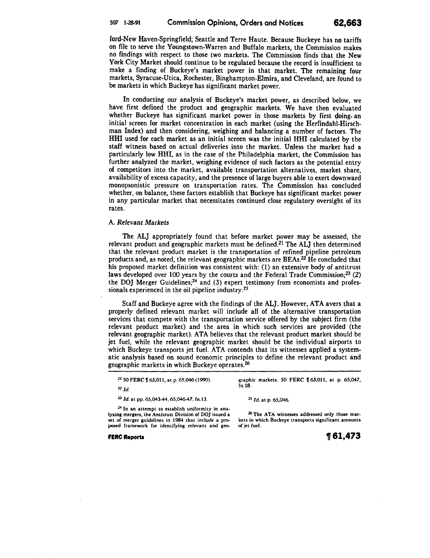ford-New Haven-Springfield; Seattle and Terre Haute. Because Buckeye has no tariffs on file to serve the Youngstown-Warren and Buffalo markets; the Commission makes no findings with respect to those two markets. The Commission finds that the New York City Market should continue to be regulated because the record is insufficient to make a finding of Buckeye's market power in that market. The remaining four markets, Syracuse-Utica, Rochester, Binghampton-Elmira, and Cleveland, are found to be markets in which Buckeye has significant market power.

In conducting our analysis of Buckeye's market power, as described below, we have first defined the product and geographic markets. We have then evaluated whether Buckeye has significant market power in those markets by first doing. an initial screen for market concentration in each market (using the Herfindahl-Hirschman Index) and then considering, weighing and balancing a number of factors. The HHI used for each market as an initial screen was the initial HHI calculated by the staff witness based on actual deliveries into the market. Unless the market had a particularly low HHI, as in the case of the Philadelphia market, the Commission has further analyzed the market, weighing evidence of such factors as the potential entry of competitors into the market, available transportation alternatives, market share, availability of excess capacity, and the presence of large buyers able to exert downward monopsonistic pressure on transportation rates. The Commission has concluded whether, on balance, these factors establish that Buckeye has significant market power in any particular market that necessitates continued close regulatory oversight of its rates.

# A. *Relevant Markets*

The ALJ appropriately found that before market power may be assessed, the relevant product and geographic markets must be defined.<sup>21</sup> The ALJ then determined that the relevant product market is the transportation of refined pipeline petroleum products and, as noted, the relevant geographic markets are BEAs.<sup>22</sup> He concluded that his proposed market definition was consistent with: (1) an extensive body of antitrust laws developed over 100 years by the courts and the Federal Trade Commission;<sup>23</sup> (2) the DOJ Merger Guidelines;<sup>24</sup> and (3) expert testimony from economists and professionals experienced in the oil pipeline industry.25

Staff and Buckeye agree with the findings of the ALJ. However, ATA avers that a properly defined relevant market will include all of the alternative transportation services that compete with the transportation service offered by the subject firm (the relevant product market) and the area in which such services are provided (the relevant geographic market). ATA believes that the relevant product market should be jet fuel, while the relevant geographic market should be the individual airports to which Buckeye transports jet fuel. ATA contends that its witnesses applied a systematic analysis based on sound economic principles to define the relevant product and geographic markets in which Buckeye operates.26

| <sup>21</sup> 50 FERC <b>[63,011</b> , at p. 65,046 (1990). |  |
|-------------------------------------------------------------|--|
|-------------------------------------------------------------|--|

graphic markets. 50 FERC 163,011, at p. 65,047, fn.18.

<sup>22</sup>*ld.* 

<sup>23</sup>*Id.* at pp. 65,043-44,65,046-47, fn.lJ.

<sup>25</sup> *Id.* at p. 65,046.

24 In an attempt to establish uniformity in analyzing mergers, the Antitrust Division of *DO]* issued a set of merger guidelines in 1984 that include a proposed framework for identifying relevant and geo-

FERC Reports

<sup>26</sup> The ATA witnesses addressed only those markets in which Buckeye transports significant amounts of jet fuel.

**1f61,473**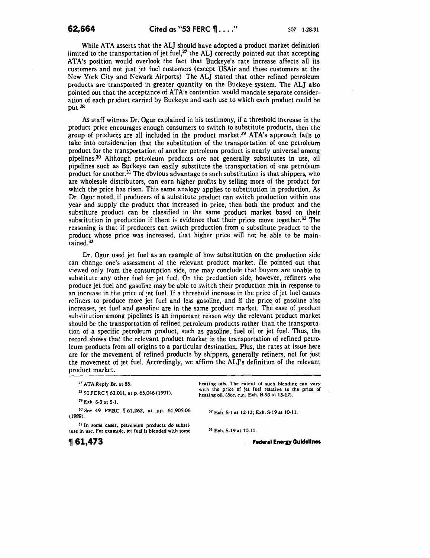While ATA asserts that the ALJ should have adopted a product market definition limited to the transportation of jet fuel, $27$  the ALJ correctly pointed out that accepting ATA's position would overlook the fact that Buckeye's rate increase affects all its customers and not just jet fuel customers (except USAir and those customers at the New York City and Newark Airports) The ALJ stated that other refined petroleum products are transported in greater quantity on the Buckeye system. The ALJ also pointed out that the acceptance of ATA's contention would mandate separate consideration of each product carried by Buckeye and each use to which each product could be put.28

As staff witness Dr. Ogur explained in his testimony, if a threshold increase in the product price encourages enough consumers to switch to substitute products, then the group of products are all included in the product market.<sup>29</sup> ATA's approach fails to take into consideration that the substitution of the transportation of one petroleum product for the transportation of another petroleum product is nearly universal among pipelines.30 Although petroleum products are not generally substitutes in use, oil pipelines such as Buckeye can easily substitute the transportation of one petroleum product for another. 31 The obvious advantage to such substitution is that shippers, who are wholesale distributors, can earn higher profits by selling more of the product for which the price has risen. This same analogy applies to substitution in production. As Dr. Ogur noted, if producers of a substitute product can switch production within one year and supply the product that increased in price, then both the product and the substitute product can be classified in the same product market based on their substitution in production if there is evidence that their prices move together.<sup>32</sup> The reasoning is that if producers can switch production from a substitute product to the product whose price was increased, that higher price will not be able to be maintained.33

Dr. Ogur used jet fuel as an example of how substitution on the production side can change one's assessment of the relevant product market. He pointed out that viewed only from the consumption side, one may conclude that buyers are unable to substitute any other fuel for jet fuel. On the production side, however, refiners who produce jet fuel and gasoline may be able to switch their production mix in response to an increase in the price of jet fuel. If a threshold increase in the price of jet fuel causes rciiners to produce more jet fuel and less gasoline, and if the price of gasoline also increases, jet fuel and gasoline are in the same product market. The ease of product suhstitution among pipelines is an important reason why the relevant product market should be the transportation of refined petroleum products rather than the transportation of a specific petroleum product, such as gasoline, fuel oil or jet fuel. Thus, the record shows that the relevant product market is the transportation of refined petroleum products from all origins to a particular destination. Plus, the rates at issue here are for the movement of refined products by shippers, generally refiners, not for just the movement of jet fuel. Accordingly, we affirm the ALJ's definition of the relevant product market.

*<sup>27</sup>*ATA Reply Br. at 85.

28 50 FERC  $\sqrt{ }$  63,011, at p. 65,046 (1991).

*Z9* Exh. S-3 at S-1.

<sup>30</sup>*See* 49 FERC l[ 61,262, at pp. 61,905-06 (1989).

31 In some cases, petroleum products do substitute in use. For example, jet fuel is blended with some heating oils. The extent of such blending can vary with the price of jet fuel relative to the price of heating oil. (See, *e.g.,* Exh. B-93 at 13-17).

32 Exti. S-1 at 12-13; Exh. S-19 at 10.11.

33 Exh. S-19 at 10-11.

**Federal Energy Guidelines**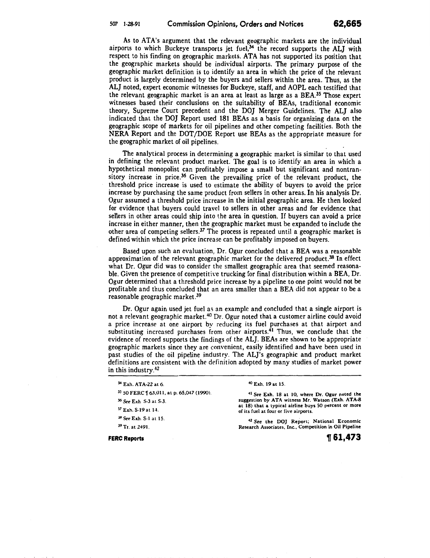As to ATA's argument that the relevant geographic markets are the individual airports to which Buckeye transports jet fuel, $34$  the record supports the ALJ with respect to his finding on geographic markets. ATA has not supported its position that the geographic markets should be individual airports. The primary purpose of the geographic market definition is to identify an area in which the price of the relevant product is largely determined by the buyers and sellers within the area. Thus, as the ALJ noted, expert economic witnesses for Buckeye, staff, and AOPL each testified that the relevant geographic market is an area at least as large as a BEA.35 Those expert witnesses based their conclusions on the suitability of BEAs, traditional economic theory, Supreme Court precedent and the DOJ Merger Guidelines. The ALJ also indicated that the DOJ Report used 181 BEAs as a basis for organizing data on the geographic scope of markets for oil pipelines and other competing facilities. Both the NERA Report and the DOT/DOE Report use BEAs as the appropriate measure for the geographic market of oil pipelines.

The analytical process in determining a geographic market is similar to that used in defining the relevant product market. The goal is to identify an area in which a hypothetical monopolist can profitably impose a small but significant and nontransitory increase in price.<sup>36</sup> Given the prevailing price of the relevant product, the threshold price increase is used to estimate the ability of buyers to avoid the price increase by purchasing the same product from sellers in other areas. In his analysis Dr. Ogur assumed a threshold price increase in the initial geographic area. He then looked for evidence that buyers could travel to sellers in other areas and for evidence that sellers in other areas could ship into the area in question. If buyers can avoid a price increase in either manner, then the geographic market must be expanded to include the other area of competing sellers.<sup>37</sup> The process is repeated until a geographic market is defined within which the price increase can be profitably imposed on buyers.

Based upon such an evaluation, Dr. Ogur concluded that a BEA was a reasonable approximation of the relevant geographic market for the delivered product.<sup>38</sup> In effect what Dr. Ogur did was to consider the smallest geographic area that seemed reasonable. Given the presence of competitive trucking for final distribution within a BEA, Dr. Ogur determined that a threshold price increase by a pipeline to one point would not be profitable and thus concluded that an area smaller than a BEA did not appear to be a reasonable geographic market.39

Dr. Ogur again used jet fuel as an example and concluded that a single airport is not a relevant geographic market.<sup>40</sup> Dr. Ogur noted that a customer airline could avoid a price increase at one airport by reducing its fuel purchases at that airport and substituting increased purchases from other airports.<sup>41</sup> Thus, we conclude that the evidence of record supports the findings of the ALJ. BEAs are shown to be appropriate geographic markets since they are convenient, easily identified and have been used in past studies of the oil pipeline industry. The ALJ's geographic and product market definitions are consistent with the definition adopted by many studies of market power in this industry. $42$ 

|  |  | <sup>34</sup> Exh. ATA-22 at 6. |  |  |
|--|--|---------------------------------|--|--|
|--|--|---------------------------------|--|--|

- 35 50 FERC Y 63,011, at p. 65,047 (1990).
- <sup>36</sup>*See* Exh. S-3 at S-3.
- 37 Exh. S-19 at 14.
- <sup>38</sup>*See* Exh. S-1 at IS.
- 39 Tr. at 2491.

FERC Reports

<sup>40</sup>Exh. 19 at 15.

•• *See* Exh. 18 at 10, where Dr. Ogur noted the suggestion by ATA witness Mr. Watson (Exh. ATA-8 at 18) that a typical airline buys 50 percent or more of its fuel at four or five airports.

42 See the DOJ Report; National Economic Research Associates, Inc., Competition in Oil Pipeline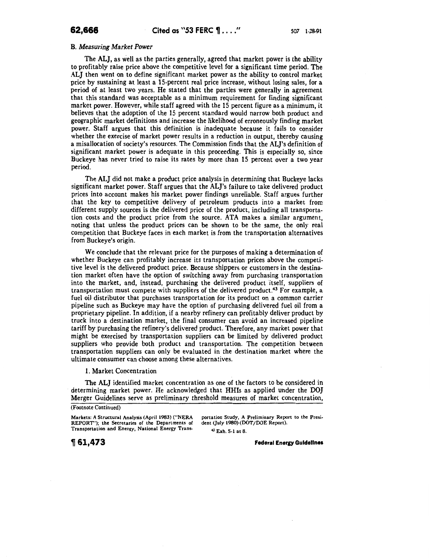B. *Measuring Market Power* 

The ALJ, as well as the parties generally, agreed that market power is the ability to profitably raise price above the competitive level for a significant time period. The ALJ then went on to define significant market power as the ability to control market price by sustaining at least a IS-percent real price increase, without losing sales, for a period of at least two years. He stated that the parties were generally in agreement that this standard was acceptable as a minimum requirement for finding significant market power. However, while staff agreed with the 15 percent figure as a minimum, it believes that the adoption of the 15 percent standard would narrow both product and geographic market definitions and increase the likelihood of erroneously finding market power. Staff argues that this definition is inadequate because it fails to consider whether the exercise of market power results in a reduction in output, thereby causing a misallocation of society's resources. The Commission finds that the AL]'s definition of significant market power is adequate in this proceeding. This is especially so, since Buckeye has never tried to raise its rates by more than 15 percent over a two year period.

The ALJ did not make a product price analysis in determining that Buckeye lacks significant market power. Staff argues that the AL]'s failure to take delivered product prices into account makes his market power findings unreliable. Staff argues further that the key to competitive delivery of petroleum products into a market from different supply sources is the delivered price of the product, including all transportation costs and the product price from the source. ATA makes a similar argument, noting that unless the product prices can be shown to be the same, the only real competition that Buckeye faces in each market is from the transportation alternatives from Buckeye's origin.

We conclude that the relevant price for the purposes of making a determination of whether Buckeye can profitably increase its transportation prices above the competitive level is the delivered product price. Because shippers or customers in the destination market often have the option of switching away from purchasing transportation into the market, and, instead, purchasing the delivered product itself, suppliers of transportation must compete with suppliers of the delivered product.<sup>43</sup> For example, a fuel oil distributor that purchases transportation for its product on a common carrier pipeline such as Buckeye may have the option of purchasing delivered fuel oil from a proprietary pipeline. In addition, if a nearby refinery can profitably deliver product by truck into a destination market, the final consumer can avoid an increased pipeline tariff by purchasing the refinery's delivered product. Therefore, any market power that might be exercised by transportation suppliers can be limited by delivered product suppliers who provide both product and transportation. The competition between transportation suppliers can only be evaluated in the destination market where the ultimate consumer can choose among these alternatives.

1. Market Concentration

The ALJ identified market concentration as one of the factors to be considered in determining market power. He acknowledged that HHis as applied under the *DO]*  Merger Guidelines serve as preliminary threshold measures of market concentration,

<sup>43</sup> Exh. S-1 at 8.

~ **61,473** Federal Energy Guidelines

<sup>(</sup>Footnote Continued)

Markets: A Structural Analysis (April 1983) ("NERA portation Study, A Preliminary Report to the Presi-<br>REPORT"); the Secretaries of the Departments of dent (July 1980) (DOT/DOE Report). REPORT"); the Secretaries of the Departments of Transportation and Energy, National Energy Trans-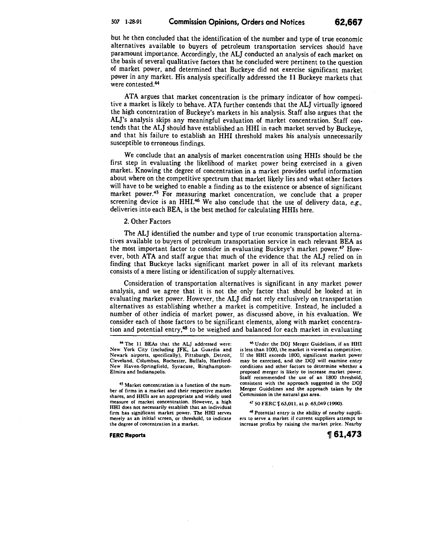but he then concluded that the identification of the number and type of true economic alternatives available to buyers of petroleum transportation services should have paramount importance. Accordingly, the ALJ conducted an analysis of each market on the basis of several qualitative factors that he concluded were pertinent to the question of market power, and determined that Buckeye did not exercise significant market power in any market. His analysis specifically addressed the 11 Buckeye markets that were contested.44

ATA argues that market concentration is the primary indicator of how competitive a market is likely to behave. ATA further contends that the ALJ virtually ignored the high concentration of Buckeye's markets in his analysis. Staff also argues that the AL]'s analysis skips any meaningful evaluation of market concentration. Staff contends that the ALJ should have established an HHI in each market served by Buckeye, and that his failure to establish an HHI threshold makes his analysis unnecessarily susceptible to erroneous findings.

We conclude that an analysis of market concentration using HHis should be the first step in evaluating the likelihood of market power being exercised in a given market. Knowing the degree of concentration in a market provides useful information about where on the competitive spectrum that market likely lies and what other factors will have to be weighed to enable a finding as to the existence or absence of significant market power.45 For measuring market concentration, we conclude that a proper screening device is an HHI.<sup>46</sup> We also conclude that the use of delivery data, *e.g.*, deliveries into each BEA, is the best method for calculating HHis here.

# 2. Other Factors

The ALJ identified the number and type of true economic transportation alternatives available to buyers of petroleum transportation service in each relevant BEA as the most important factor to consider in evaluating Buckeye's market power.47 However, both ATA and staff argue that much of the evidence that the ALJ relied on in finding that Buckeye lacks significant market power in all of its relevant markets consists of a mere listing or identification of supply alternatives.

Consideration of transportation alternatives is significant in any market power analysis, and we agree that it is not the only factor that should be looked at in evaluating market power. However, the ALJ did not rely exclusively on transportation alternatives as establishing whether a market is competitive. Instead, he included a number of other indicia of market power, as discussed above, in his evaluation. We consider each of those factors to be significant elements, along with market concentration and potential entry,<sup>48</sup> to be weighed and balanced for each market in evaluating

45 Market concentration is a function of the number of firms in a market and their respective market shares, and HHis are an appropriate and widely used measure of market concentration. However, a high HHI does not necessarily establish that an individual firm has significant market power. The HHI serves merely as an initial screen, or threshold, to indicate the degree of concentration in a market.

**FERC Reports** 

46 Under the DO} Merger Guidelines, if an HHI is less than 1000, the market is viewed as competitive. lf the HHI exceeds 1800, significant market power may be exercised, and the DO} will examine entry conditions and other factors to determine whether a proposed merger is likely to increase market power. Staff recommended the use of an 1800 threshold, consistent with the approach suggested in the DOJ Merger Guidelines and the approach taken by the Commission in the natural gas area.

47 50 FERC  $\llbracket$  63,011, at p. 65,049 (1990).

*48* Potential entry is the ability of nearby suppliers to serve a market if current suppliers attempt to increase profits by raising the market price. Nearby

~ **61,473** 

<sup>44</sup> The II BEAs that the ALJ addressed were: New York City (including JFK, La Guardia and Newark airports, specifically), Pittsburgh, Detroit, Cleveland, Columbus, Rochester, Buffalo, Hartford-New Haven-Springfield, Syracuse, Binghampton-Elmira and Indianapolis.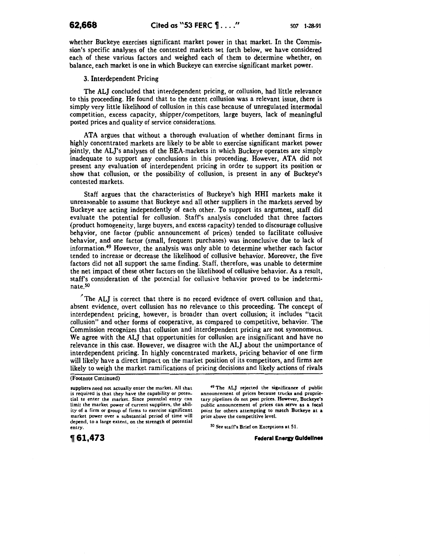whether Buckeye exercises significant market power in that market. In the Commission's specific analyses of the contested markets set forth below, we have considered each of these various factors and weighed each of them to determine whether, on balance, each market is one in which Buckeye can exercise significant market power.

3. Interdependent Pricing

The ALJ concluded that interdependent pricing, or collusion, had little relevance to this proceeding. He found that to the extent collusion was a relevant issue, there is simply very little likelihood of collusion in this case because of unregulated intermodal competition, excess capacity, shipper/competitors, large buyers, lack of meaningful posted prices and quality of service considerations.

ATA argues that without a thorough evaluation of whether dominant firms in highly concentrated markets are likely to be able to exercise significant market power jointly, the AL]'s analyses of the BEA-markets in which Buckeye operates are simply inadequate to support any conclusions in this proceeding. However, ATA did not present any evaluation of interdependent pricing in order to support its position or show that collusion, or the possibility of collusion, is present in any of Buckeye's contested markets.

Staff argues that the characteristics of Buckeye's high HHI markets make it unreasonable to assume that Buckeye and all other suppliers in the markets served by Buckeye are acting independently of each other. To support its argument, staff did evaluate the potential for collusion. Staff's analysis concluded that three factors (product homogeneity, large buyers, and excess capacity) tended to discourage collusive behavior, one factor (public announcement of prices) tended to facilitate collusive behavior, and one factor (small, frequent purchases) was inconclusive due to lack of information.<sup>49</sup> However, the analysis was only able to determine whether each factor tended to increase or decrease the likelihood of collusive behavior. Moreover, the five factors did not all support the same finding. Staff, therefore, was unable to determine the net impact of these other factors on the likelihood of collusive behavior. As a result, staff's consideration of the potential for collusive behavior proved to be indeterminate\_so

*r* The ALJ is correct that there is no record evidence of overt collusion and that, absent evidence, overt collusion has no relevance to this proceeding. The concept of interdependent pricing, however, is broader than overt collusion; it includes "tacit collusion" and other forms of cooperative, as compared to competitive, behavior. The Commission recognizes that collusion and interdependent pricing are not synonomous. We agree with the ALJ that opportunities for collusion are insignificant and have no relevance in this case. However, we disagree with the ALJ about the unimportance of interdependent pricing. In highly concentrated markets, pricing behavior of one firm will likely have a direct impact on the market position of its competitors, and firms are likely to weigh the market ramifications of pricing decisions and likely actions of rivals

### (Footnote Continued)

suppliers need not actually enter the market. All that is required is that they have the capability or potential to enter the market. Since potential entry can limit the market power of current suppliers, the ability of a firm or group of firms to exercise significant market power over a substantial period of time will depend, to a large extent, on the strength of potential entry.

49 The AL} rejected the significance of public announcement of prices because trucks and proprietary pipelines do not post prices. However, Buckeye's public announcement of prices can serve as a focal point for others attempting to match Buckeye at a price above the competitive level.

so See staff's Brief on Exceptions at 51.

**Federal Energy Guidelines** 

**1f 61,473**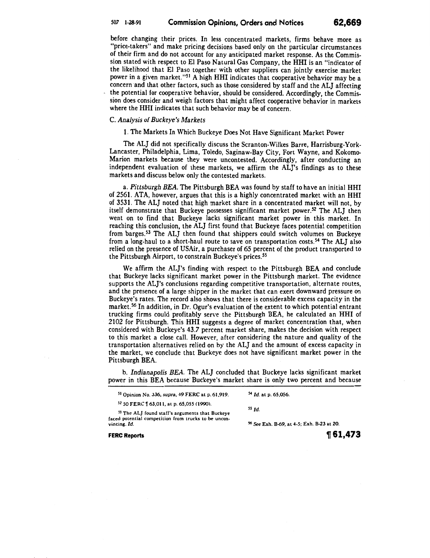# 507 1-28-91 **Commission Opinions, Orders and Notices 62,669**

before changing their prices. In less concentrated markets, firms behave more as "price-takers" and make pricing decisions based only on the particular circumstances of their firm and do not account for any anticipated market response. As the Commission stated with respect to El Paso Natural Gas Company, the HHI is an "indicator of the likelihood that El Paso together with other suppliers can jointly exercise market power in a given market."51 A high HHI indicates that cooperative behavior may be a concern and that other factors, such as those considered by staff and the ALJ affecting the potential for cooperative behavior, should be considered. Accordingly, the Commission does consider and weigh factors that might affect cooperative behavior in markets where the HHI indicates that such behavior may be of concern.

# C. *Analysis of Buckeye's Markets*

1. The Markets In Which Buckeye Does Not Have Significant Market Power

The ALJ did not specifically discuss the Scranton-Wilkes Barre, Harrisburg-York· Lancaster, Philadelphia, Lima, Toledo, Saginaw-Bay City, Fort Wayne, and Kokomo-Marion markets because they were uncontested. Accordingly, after conducting an independent evaluation of these markets, we affirm the ALJ's findings as to these markets and discuss below only the contested markets.

a. *Pittsburgh BEA.* The Pittsburgh BEA was found by staff to have an initial HHI of 2561. ATA, however, argues that this is a highly concentrated market with an HHI of 3531. The ALJ noted that high market share in a concentrated market will not, by itself demonstrate that Buckeye possesses significant market power.<sup>52</sup> The ALJ then went on to find that Buckeye lacks significant market power in this market. In reaching this conclusion, the ALJ first found that Buckeye faces potential competition from barges.53 The ALJ then found that shippers could switch volumes on Buckeye from a long-haul to a short-haul route to save on transportation costs.54 The ALJ also relied on the presence of USAir, a purchaser of 65 percent of the product transported to the Pittsburgh Airport, to constrain Buckeye's prices. 55

We affirm the ALJ's finding with respect to the Pittsburgh BEA and conclude that Buckeye lacks significant market power in the Pittsburgh market. The evidence supports the ALJ's conclusions regarding competitive transportation, alternate routes, and the presence of a large shipper in the market that can exert downward pressure on Buckeye's rates. The record also shows that there is considerable excess capacity in the market. 56 In addition, in Dr. Ogur's evaluation of the extent to which potential entrant trucking firms could profitably serve the Pittsburgh BEA, he calculated an HHI of 2102 for Pittsburgh. This HHI suggests a degree of market concentration that, when considered with Buckeye's 43.7 percent market share, makes the decision with respect to this market a close call. However, after considering the nature and quality of the transportation alternatives relied on by the ALJ and the amount of excess capacity in the market, we conclude that Buckeye does not have significant market power in the Pittsburgh BEA.

b. *Indianapolis BEA.* The ALJ concluded that Buckeye lacks significant market power in this BEA because· Buckeye's market share is only two percent and because

| <sup>51</sup> Opinion No. 336, supra, 49 FERC at p. 61,919.          | <sup>54</sup> Id. at p. 65,056.                       |  |
|----------------------------------------------------------------------|-------------------------------------------------------|--|
| <sup>52</sup> 50 FERC 1 63.011, at p. 65,055 (1990).                 | $55$ $Id$ .                                           |  |
| <sup>53</sup> The ALJ found staff's arguments that Buckeye           |                                                       |  |
| faced potential competition from trucks to be uncon-<br>vincing. Id. | <sup>56</sup> See Exh. B-69. at 4-5; Exh. B-23 at 20. |  |
|                                                                      |                                                       |  |

**FERC Reports**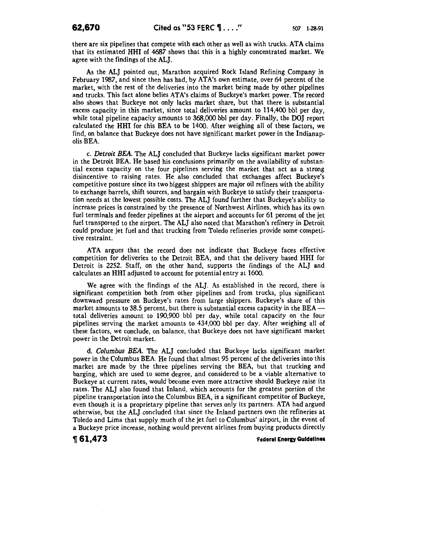there are six pipelines that compete with each other as well as with trucks. ATA claims that its estimated HHI of 4687 shows that this is a highly concentrated market. We agree with the findings of the ALJ.

As the ALJ pointed out, Marathon acquired Rock Island Refining Company in February 1987, and since then has had, by AT A's own estimate, over 64 percent of the market, with the rest of the deliveries into the market being made by other pipelines and trucks. This fact alone belies AT A's claims of Buckeye's market power. The record also shows that Buckeye not only Jacks market share, but that there is substantial excess capacity in this market, since total deliveries amount to 114,400 bbl per day, while total pipeline capacity amounts to 368,000 bbl per day. Finally, the DOJ report calculated the HHI for this BEA to be 1400. After weighing all of these factors, we find, on balance that Buckeye does not have significant market power in the Indianapolis BEA.

c. *Detroit BEA.* The ALJ concluded that Buckeye lacks significant market power in the Detroit BEA. He based his conclusions primarily on the availability of substantial excess capacity on the four pipelines serving the market that act as a strong disincentive to raising rates. He also concluded that exchanges affect Buckeye's competitive posture since its two biggest shippers are major oil refiners with the ability to exchange barrels, shift sources, and bargain with Buckeye to satisfy their transportation needs at the lowest possible costs. The ALJ found further that Buckeye's ability to increase prices is constrained by the presence of Northwest Airlines, which has its own fuel terminals and feeder pipelines at the airport and accounts for 61 percent of the jet fuel transported to the airport. The ALJ also noted that Marathon's refinery in Detroit could produce jet fuel and that trucking from Toledo refineries provide some competitive restraint.

ATA argues that the record does not indicate that Buckeye faces effective competition for deliveries to the Detroit BEA, and that the delivery based HHI for Detroit is 2252. Staff, on the other hand, supports the findings of the ALJ and calculates an HHI adjusted to account for potential entry at 1600.

We agree with the findings of the ALJ. As established in the record, there is significant competition both from other pipelines and from trucks, plus significant downward pressure on Buckeye's rates from large shippers. Buckeye's share of this market amounts to 38.5 percent, but there is substantial excess capacity in the BEA-total deliveries amount to 190,900 bbl per day, while total capacity on the four pipelines serving the market amounts to 434,000 bbl per day. After weighing all of these factors, we conclude, on balance, that Buckeye does not have significant market power in the Detroit market.

d. *Columbus BEA.* The ALJ concluded that Buckeye lacks significant market power in the Columbus BEA. He found that almost 95 percent of the deliveries into this market are made by the three pipelines serving the BEA, but that trucking and barging, which are used to some degree, and considered to be a viable alternative to Buckeye at current rates, would become even more attractive should Buckeye raise its rates. The ALJ also found that Inland, which accounts for the greatest portion of the pipeline transportation into the Columbus BEA, is a significant competitor of Buckeye, even though it is a proprietary pipeline that serves only its partners. ATA had argued otherwise, but the ALJ concluded that since the Inland partners own the refineries at Toledo and Lima that supply much of the jet fuel to Columbus' airport, in the event of a Buckeye price increase, nothing would prevent airlines from buying products directly

# **,61,473** ~ederal Energy Guidelines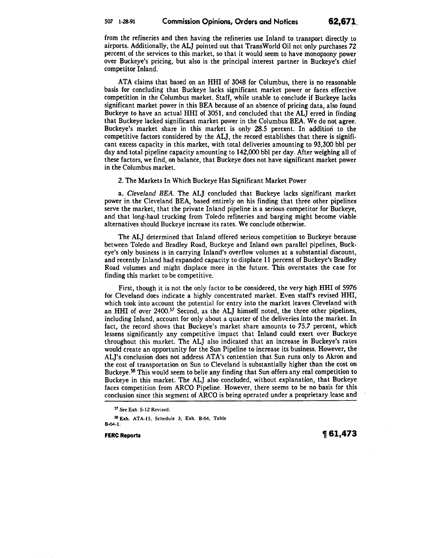from the refineries and then having the refineries use Inland to transport directly to airports. Additionally, the ALJ pointed out that TransWorld Oil not only purchases 72 percent. of the services to this market, so that it would seem to have monopsony power over Buckeye's pricing, but also is the principal interest partner in Buckeye's chief competitor Inland.

ATA claims that based on an HHI of 3048 for Columbus, there is no reasonable basis for concluding that Buckeye lacks significant market power or faces effective competition in the Columbus market. Staff, while unable to conclude if Buckeye lacks significant market power in this BEA because of an absence of pricing data, also found Buckeye to have an actual HHI of 3051, and concluded that the ALJ erred in finding that Buckeye lacked significant market power in the Columbus BEA. We do not agree. Buckeye's market share in this market is only 28.5 percent. In addition to the competitive factors considered by the ALJ, the record establishes that there is significant excess capacity in this market, with total deliveries amounting to 93,300 bbl per day and total pipeline capacity amounting to 142,000 bbl per day. After weighing all of these factors, we find, on balance, that Buckeye does not have significant market power in the Columbus market.

2. The Markets In Which Buckeye Has Significant Market Power

a. *Cleveland BEA.* The ALJ concluded that Buckeye lacks significant market power in the Cleveland BEA, based entirely on his finding that three other pipelines serve the market, that the private Inland pipeline is a serious competitor for Buckeye, and that long-haul trucking from Toledo refineries and barging might become viable alternatives should Buckeye increase its rates. We conclude otherwise.

The ALJ determined that Inland offered serious competition to Buckeye because between Toledo and Bradley Road, Buckeye and Inland own parallel pipelines, Buckeye's only business is in carrying Inland's overflow volumes at a substantial discount, and recently Inland had expanded capacity to displace 11 percent of Buckeye's Bradley Road volumes and might displace more in the future. This overstates the case for finding this market to be competitive.

First, though it is not the only factor to be considered, the very high HHI of 5976 for Cleveland does indicate a highly concentrated market. Even stafrs revised HHI, which took into account the potential for entry into the market leaves Cleveland with an HHI of over 2400.<sup>57</sup> Second, as the ALJ himself noted, the three other pipelines, including Inland, account for only about a quarter of the deliveries into the market. In fact, the record shows that Buckeye's market share amounts to *75.7* percent, which lessens significantly any competitive impact that Inland could exert over Buckeye throughout this market. The ALJ also indicated that an increase in Buckeye's rates would create an opportunity for the Sun Pipeline to increase its business. However, the AL]'s conclusion does not address ATA's contention that Sun runs only to Akron and the cost of transportation on Sun to Cleveland is substantially higher than the cost on Buckeye.<sup>58</sup> This would seem to belie any finding that Sun offers any real competition to Buckeye in this market. The ALJ also concluded, without explanation, that Buckeye faces competition from ARCO Pipeline. However, there seems to be no basis for this conclusion since this segment of ARCO is being operated under a proprietary lease and

FERC Reports  $\eta$  61,473

<sup>57</sup>*See* Exh. S-12 Revised.

<sup>58</sup> Exh. ATA-15, Schedule 3; Exh. B-64, Table B-64-1.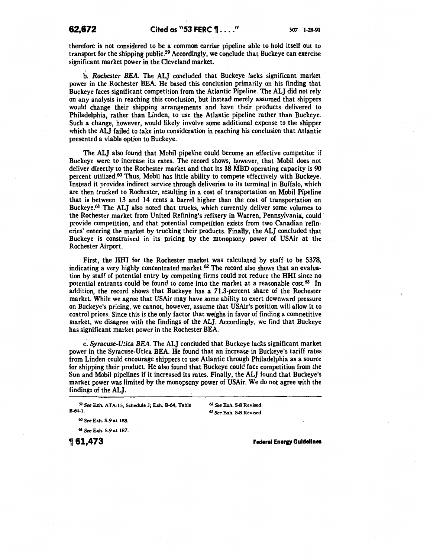therefore is not considered to be a common carrier pipeline able to hold itself out to transport for the shipping public.<sup>59</sup> Accordingly, we conclude that Buckeye can exercise significant market power in the Cleveland market.

b. *Rochester BEA.* The ALJ concluded that Buckeye lacks significant market power in the Rochester BEA. He based this conclusion primarily on his finding that Buckeye faces significant competition from the Atlantic Pipeline. The ALJ did not rely on any analysis in reaching this conclusion, but instead merely assumed that shippers would change their shipping arrangements and have their products delivered to Philadelphia, rather than Linden, to use the Atlantic pipeline rather than Buckeye. Such a change, however, would likely involve some additional expense to the shipper which the ALJ failed to take into consideration in reaching his conclusion that Atlantic presented a viable option to Buckeye.

The ALJ also found that Mobil pipeline could become an effective competitor if Buckeye were to increase its rates. The record shows; however, that Mobil does not deliver directly to the Rochester market and that its 18 MBD operating capacity is 90 percent utilized. $60$  Thus, Mobil has little ability to compete effectively with Buckeye. Instead it provides indirect service through deliveries to its terminal in Buffalo, which are then trucked to Rochester, resulting in a cost of transportation on Mobil Pipeline that is between 13 and 14 cents a barrel higher than the cost of transportation on Buckeye.61 The ALJ also noted that trucks, which currently deliver some volumes to the Rochester market from United Refining's refinery in Warren, Pennsylvania, could· provide competition, and that potential competition exists from two Canadian refineries' entering the market by trucking their products. Finally, the ALJ concluded that Buckeye is constrained in its pricing by the monopsony power of USAir at the Rochester Airport.

First, the HHI for the Rochester market was calculated by staff to be 5378, indicating a very highly concentrated market. $62$  The record also shows that an evaluation by staff of potential entry by competing firms could not reduce the HHI since no potential entrants could be found to come into the market at a reasonable cost. $^{63}$  In addition, the record shows that Buckeye has a 71.3-percent share of the Rochester market. While we agree that USAir may have some ability to exert downward pressure on Buckeye's pricing, we cannot, however, assume that USAir's position will allow it to control prices. Since this is the only factor that weighs in favor of finding a competitive market, we disagree with the findings of the AL]. Accordingly, we find that Buckeye has significant market power in the Rochester BEA.

c. *Syracuse-Utica BEA.* The ALJ concluded that Buckeye lacks significant market power in the Syracuse-Utica BEA. He found that an increase in Buckeye's tariff rates from Linden could encourage shippers to use Atlantic through Philadelphia as a source for shipping their product. He also found that Buckeye could face competition from the Sun and Mobil pipelines if it increased its rates. Finally, the ALJ found that Buckeye's market power was limited by the monopsony power of USAir. We do not agree with the findings of the ALJ.

62 See Exh. S-8 Revised. 63 See Exh. S-8 Revised.

60 See Exh. S-9 at 188.

61 See Exh. S-9 at 187.

<sup>~</sup>**61,473** 

**Federal Energy Guidelines** 

<sup>59</sup> See Exh. ATA-15, Schedule 3; Exh. B-64, Table B-64-1.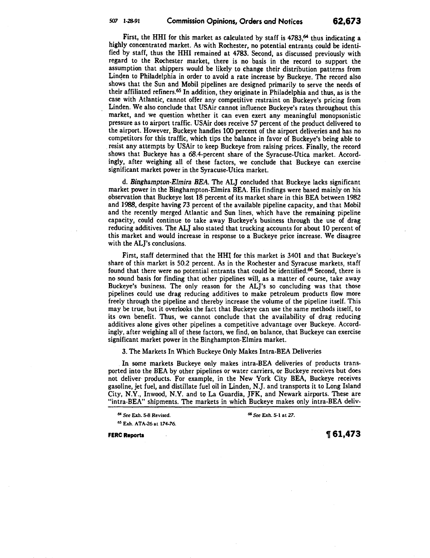First, the HHI for this market as calculated by staff is  $4783$ ,<sup>64</sup> thus indicating a highly concentrated market. As with Rochester, no potential entrants could be identified by staff, thus the HHI remained at 4783. Second, as discussed previously with regard to the Rochester market, there is no basis in the record to support the assumption that shippers would be likely to change their distribution patterns from Linden to Philadelphia in order to avoid a rate increase by Buckeye. The record also shows that the Sun and Mobil pipelines are designed primarily to serve the needs of their affiliated refiners.65 In addition, they originate in Philadelphia and thus, as is the case with Atlantic, cannot offer any competitive restraint on Buckeye's pricing from Linden. We also conclude that USAir cannot influence Buckeye's rates throughout this market, and we question whether it can even exert any meaningful monopsonistic pressure as to airport traffic. USAir does receive 57 percent of the product delivered to the airport. However, Buckeye handles 100 percent of the airport deliveries and has no competitors for this traffic, which tips the balance in favor of Buckeye's being able to . resist any attempts by USAir to keep Buckeye from raising prices. Finally, the record shows that Buckeye has a 68.4-percent share of the Syracuse-Utica market. Accordingly, after weighing all of these factors, we conclude that Buckeye can exercise significant market power in the Syracuse-Utica market.

d. *Binghampton-Elmira BEA.* The ALJ concluded that Buckeye lacks significant market power in the Binghampton-Elmira BEA. His findings were based mainly on his 9bservation that Buckeye lost 18 percent of its market share in this BEA between 1982 and 1988, despite having 73 percent of the available pipeline capacity, and that Mobil and the recently merged Atlantic and Sun lines, which have the remaining pipeline capacity, could continue to take away Buckeye's business through the use of drag reducing additives. The ALJ also stated that trucking accounts for about 10 percent of this market and would increase in response to a Buckeye price increase. We disagree with the AL]'s conclusions.

First, staff determined that the HHI for this market is 3401 and that Buckeye's share of this market is 50.2 percent. As in the Rochester and Syracuse markets, staff found that there were no potential entrants that could be identified.66 Second, there is no sound basis for finding that other pipelines will, as a matter of course, take away Buckeye's business. The only reason for the AL]'s so concluding was that those pipelines could use drag reducing additives to make petroleum products flow more freely through the pipeline and thereby increase the volume of the pipeline itself. This may be true, but it overlooks the fact that Buckeye can use the same methods itself, to its own benefit. Thus, we cannot conclude that the availability of drag reducing additives alone gives other pipelines a competitive advantage over Buckeye. Accordingly, after weighing all of these factors, we find, on balance, that Buckeye can exercise significant market power in the Binghampton-Eimira market.

3. The Markets In Which Buckeye Only Makes Intra-BEA Deliveries

In some markets Buckeye only makes intra-BEA deliveries of products transported into the BEA by other pipelines or water carriers, or Buckeye receives but does not deliver products. For example, in the New York City BEA, Buckeye receives gasoline, jet fuel, and distillate fuel oil in Linden, N.J. and transports it to Long Island City, N.Y., Inwood, N.Y. and to La Guardia, JFK, and Newark airports. These are "intra-BEA" shipments. The markets in which Buckeye makes only intra-BEA deliv-

<sup>64</sup>*See* Exh. ~ Revised. 66 *See* Exh. S-1 at 27.

65 Exh. ATA-26 at 174-76.

FERC Reports  $\text{P61,473}$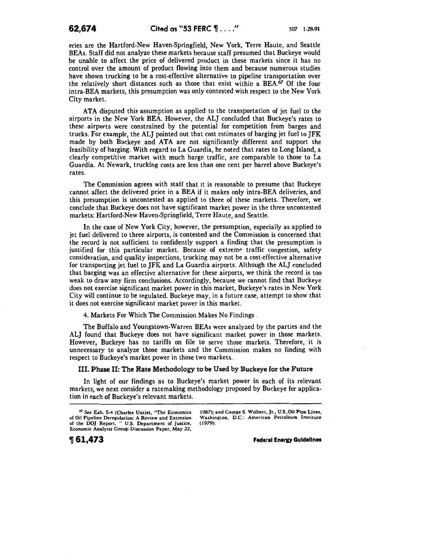eries are the Hartford-New Haven-Springfield, New York, Terre Haute, and Seattle BEAs. Staff did not analyze these markets because staff presumed that Buckeye would be unable to affect the price of delivered product in these markets since it has no control over the amount of product flowing into them and because numerous studies have shown trucking to be a cost-effective alternative to pipeline transportation over the relatively short distances such as those that exist within a BEA.67 Of the four intra-BEA markets, this presumption was only contested with respect to the New York City market.

ATA disputed this assumption as applied to the transportation of jet fuel to the airports in the New York BEA. However, the ALJ concluded that Buckeye's rates to these airports were constrained by the potential for competition from barges and trucks. For example, the ALJ pointed out that cost estimates of barging jet fuel to JFK made by both Buckeye and ATA are not significantly different and support the feasibility of barging. With regard to La Guardia, he noted that rates to Long Island, a clearly competitive market with much barge traffic, are comparable to those to La Guardia. At Newark, trucking costs are less than one cent per barrel above Buckeye's rates.

The Commission agrees with staff that it is reasonable to presume that Buckeye cannot affect the delivered price in a BEA if it makes only intra-BEA deliveries, and this presumption is uncontested as applied to three of these markets. Therefore, we conclude that Buckeye does not have significant market power in the three uncontested markets: Hartford-New Haven-Springfield, Terre Haute, and Seattle.

In the case of New York City, however, the presumption, especially as applied to jet fuel delivered to three airports, is contested and the Commission is concerned that the record is not sufficient to confidently support a finding that the presumption is justified for this particular market. Because of extreme traffic congestion, safety consideration, and quality inspections, trucking may not be a cost-effective alternative for transporting jet fuel to JFK and La Guardia airports. Although the ALJ concluded that barging was an effective alternative for these airports, we think the record is too weak to draw any firm conclusions. Accordingly, because we cannot find that Buckeye does not exercise significant market power in this market, Buckeye's rates in New York City will continue to be regulated. Buckeye may, in a future case, attempt to show that it does not exercise significant market power in this market.

4. Markets For Which The Commission Makes No Findings.

The Buffalo and Youngstown-Warren BEAs were analyzed by the parties and the ALJ found that Buckeye does not have significant market power in those markets. However, Buckeye has no tariffs on file to serve those markets. Therefore, it is unnecessary to analyze those markets and the Commission makes no finding with respect to Buckeye's market power in those two markets.

# III. Phase II: The Rate Methodology to be Used by Buckeye for the Future

In light of our findings as to Buckeye's market power in each of its relevant markets, we next consider a ratemaking methodology proposed by Buckeye for application in each of Buckeye's relevant markets.

1987); and George S. Wolbert, Jr., U.S. Oil Pipe Lines, Washington, D.C.: American Petroleum Institute (1979).

**Federal Energy Guidelines** 

<sup>61</sup>*See* Exh. S-4 (Charles Untiet, "The Economics or Oil Pipeline Deregulation: A Review and Extension or the DO] Report, " U.S. Department or Justice, Economic Analysis Group Discussion Paper, May 22,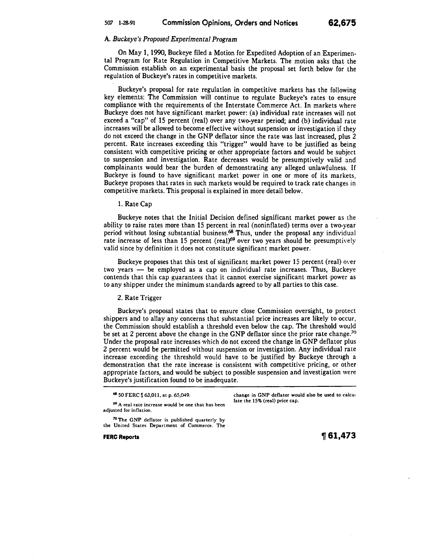# A. *Buckeye's Proposed Experimental Program*

On May 1, 1990, Buckeye filed a Motion for Expedited Adoption of an Experimental Program for Rate Regulation in Competitive Markets. The motion asks that the Commission establish on an experimental basis the proposal set forth below for the regulation of Buckeye's rates in competitive markets.

Buckeye's proposal for rate regulation in competitive markets has the following key elements: The Commission will continue to regulate Buckeye's rates to ensure compliance with the requirements of the Interstate Commerce Act. In markets where Buckeye does not have significant market power: (a) individual rate increases will not exceed a "cap" of 15 percent (real) over any two-year period; and (b) individual rate increases will be allowed to become effective without suspension or investigation if they do not exceed the change in the GNP deflator since the rate was last increased, plus 2 percent. Rate increases exceeding this "trigger" would have to be justified as being consistent with competitive pricing or other appropriate factors and would be subject to suspension and investigation. Rate decreases would be presumptively valid and complainants would bear the burden of demonstrating any alleged unlawfulness. If Buckeye is found to have significant market power in one or more of its markets, Buckeye proposes that rates in such markets would be required to track rate changes in competitive markets. This proposal is explained in more detail below.

1. Rate Cap

Buckeye notes that the Initial Decision defined significant market power as the ability to raise rates more than 15 percent in real (noninflated) terms over a two-year period without losing substantial business.68 Thus, under the proposal any individual rate increase of less than 15 percent (real) $69$  over two years should be presumptively valid since by definition it does not constitute significant market power.

Buckeye proposes that this test of significant market power 15 percent (real) over two years  $-$  be employed as a cap on individual rate increases. Thus, Buckeye contends that this cap guarantees that it cannot exercise significant market power as to any shipper under the minimum standards agreed to by all parties to this case.

### 2. Rate Trigger

Buckeye's proposal states that to ensure close Commission oversight, to protect shippers and to allay any concerns that suhstantial price increases are likely to occur, the Commission should establish a threshold even below the cap. The threshold would be set at 2 percent above the change in the GNP deflator since the prior rate change.<sup>70</sup> Under the proposal rate increases which do not exceed the change in GNP deflator plus 2 percent would be permitted without suspension or investigation. Any individual rate increase exceeding the threshold would have to be justified by Buckeye through a demonstration that the rate increase is consistent with competitive pricing, or other appropriate factors, and would be subject to possible suspension and investigation were Buckeye's justification found to be inadequate.

68 50 FERC  $\llbracket$  63,011, at p. 65,049.

change in GNP deflator would also be used to calculate the 15% (real) price cap.

 $69$  A real rate increase would be one that has been adjusted for inflation.

70 The GNP deflator is published quarterly by the United States Department of Commerce. The

**FERC Reports**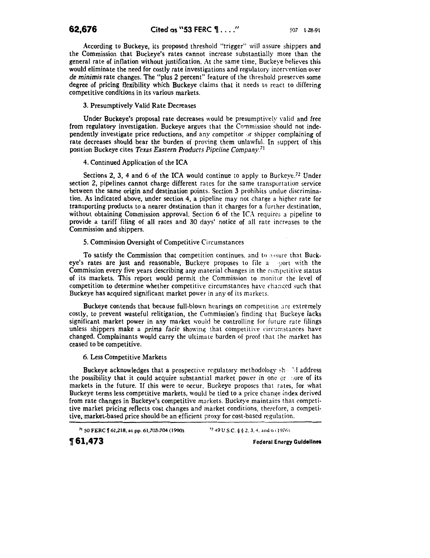According to Buckeye, its proposed threshold "trigger" will assure shippers and the Commission that Buckeye's rates cannot increase substantially more than the general rate of inflation without justification. At the same time, Buckeye believes this would eliminate the need for costly rate investigations and regulatory intervention over *de minimis* rate changes. The "plus 2 percent" feature of the threshold preserves some degree of pricing flexibility which Buckeye claims that it needs to react to differing competitive conditions in its various markets.

3. Presumptively Valid Rate Decreases

Under Buckeye's proposal rate decreases would be presumptively valid and free from regulatory investigation. Buckeye argues that the Commission should not independently investigate price reductions, and any competitor  $\sigma$  shipper complaining of rate decreases should bear the burden of proving them unlawful. In support of this position Buckeye cites *Texas Eastern Products Pipeline Company.* <sup>71</sup>

# 4. Continued Application of the ICA

Sections 2, 3, 4 and 6 of the ICA would continue to apply to Buckeye.<sup>72</sup> Under section 2, pipelines cannot charge different rates for the same transportation service between the same origin and destination points. Section 3 prohibits undue discrimination. As indicated above, under section 4, a pipeline may not charge a higher rate for transporting products to a nearer destination than it charges for a further destination, without obtaining Commission approval. Section 6 of the ICA requires a pipeline to provide a tariff' filing of all rates and 30 days' notice of all rate increases to the Commission and shippers.

# 5. Commission Oversight of Competitive Circumstances

To satisfy the Commission that competition continues, and to  $\alpha$ •sure that Buckeye's rates are just and reasonable, Buckeve proposes to file a port with the Commission every five years describing any material changes in the competitive status of its markets. This report would permit the Commission to monitor the level of competition to determine whether competitive circumstances have changed such that Buckeye has acquired significant market power in any of its markets.

Buckeye contends that because full-blown hearings on competition are extremely costly, to prevent wasteful relitigation, the Commission's finding that Buckeye lacks significant market power in any market would be controlling for future rate filings unless shippers make a *prima facie* showing that competitive circumstances have changed. Complainants would carry the ultimate burden of proof that the market has ceased to be competitive.

### 6. Less Competitive Markets

Buckeye acknowledges that a prospective regulatory methodology  $\sin^{-1}$  address the possibility that it could acquire substantial market power in one or ::ore of its markets in the future. If this were to occur, Buckeye proposes that rates, for what Buckeye terms Jess competitive markets, would be tied to a price change index derived from rate changes in Buckeye's competitive markets. Buckeye maintains that competitive market pricing reflects cost changes and market conditions, therefore, a competitive, market-based price should be an efficient proxy for cost-based regulation.

71 50 FERC  $\parallel$  61,218, at pp. 61,703-704 (1990).  $\frac{72}{49}$  U.S.C. § § 2, 3, 4, and 6 (1976).

~ **61,473** Federal Energy **Guidelines**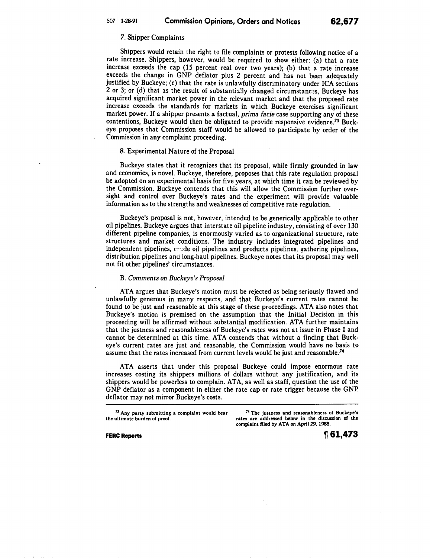# 7. Shipper Complaints

Shippers would retain the right to file complaints or protests following notice of a rate increase. Shippers, however, would be required to show either: (a) that a rate increase exceeds the cap (15 percent real over two years); (b) that a rate increase exceeds the change in GNP deflator plus 2 percent and has not been adequately justified by Buckeye; (c) that the rate is unlawfully discriminatory under ICA sections 2 or 3; or (d) that as the result of substantially changed circumstances, Buckeye has acquired significant market power in the relevant market and that the proposed rate increase exceeds the standards for markets in which Buckeye exercises significant market power. If a shipper presents a factual, *prima facie* case supporting any of these contentions, Buckeye would then be obligated to provide responsive evidence.73 Buckeye proposes that Commission staff would be allowed to participate by order of the Commission in any complaint proceeding.

# 8. Experimental Nature of the Proposal

Buckeye states that it recognizes that its proposal, while firmly grounded in law and economics, is novel. Buckeye, therefore, proposes that this rate regulation proposal be adopted on an experimental basis for five years, at which time it can be reviewed by the Commission. Buckeye contends that this will allow the Commission further oversight and control over Buckeye's rates and the experiment will provide valuable information as to the strengths and weaknesses of competitive rate regulation.

Buckeye's proposal is not, however, intended to be generically applicable to other oil pipelines. Buckeye argues that interstate oil pipeline industry, consisting of over 130 different pipeline companies, is enormously varied as to organizational structure, rate structures and market conditions. The industry includes integrated pipelines and independent pipelines, crude oil pipelines and products pipelines, gathering pipelines, distribution pipelines and long-haul pipelines. Buckeye notes that its proposal may well not fit other pipelines' circumstances.

# B. *Comments on Buckeye's Proposal*

ATA argues that Buckeye's motion must be rejected as being seriously flawed and unlawfully generous in many respects, and that Buckeye's current rates cannot be found to be just and reasonable at this stage of these proceedings. ATA also notes that Buckeye's motion is premised on the assumption that the Initial Decision in this proceeding will be affirmed without substantial modification. ATA further maintains that the justness and reasonableness of Buckeye's rates was not at issue in Phase I and cannot be determined at this time. ATA contends that without a finding that Buckeye's current rates are just and reasonable, the Commission would have no basis to assume that the rates increased from current levels would be just and reasonable.74

ATA asserts that under this proposal Buckeye could impose enormous rate increases costing its shippers millions of dollars without any justification, and its shippers would be powerless to complain. ATA, as well as staff, question the use of the GNP deflator as a component in either the rate cap or rate trigger because the GNP deflator may not mirror Buckeye's costs.

<sup>73</sup> Any party submitting a complaint would bear

<sup>73</sup> Any party submitting a complaint would bear  $74$  The justness and reasonableness of Buckeye's<br>the ultimate burden of proof. The states are addressed below in the discussion of the rates are addressed below in the discussion of the complaint filed by ATA on Apri129, 1988.

**FERC Reports , 61,473**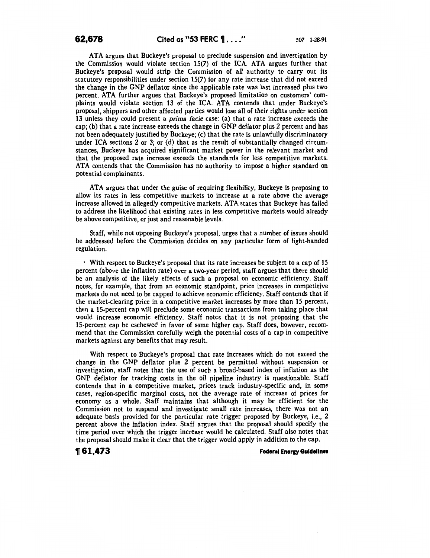ATA argues that Buckeye's proposal to preclude suspension and investigation by the Commission would violate section 15(7) of the ICA. ATA argues further that Buckeye's proposal would strip the Commission of all authority to carry out its statutory responsibilities under section 15(7) for any rate increase that did not exceed the change in the GNP deflator since the applicable rate was last increased plus two percent. ATA further argues that Buckeye's proposed limitation on customers' complaints would violate section 13 of the ICA. ATA contends that under Buckeye's proposal, shippers and other affected parties would lose all of their rights under section 13 unless they could present a prima facie case: (a) that a rate increase exceeds the cap; (b) that a rate increase exceeds the change in GNP deflator plus 2 percent and has not been adequately justified by Buckeye; (c) that the rate is unlawfully discriminatory under ICA sections 2 or 3; or (d) that as the result of substantially changed circumstances, Buckeye has acquired significant market power in the relevant market and that the proposed rate increase exceeds the standards for less competitive markets. ATA contends that the Commission has no authority to impose a higher standard on potential complainants.

ATA argues that under the guise of requiring flexibility, Buckeye is proposing to allow its rates in less competitive markets to increase at a rate above the average increase allowed in allegedly competitive markets. ATA states that Buckeye has failed to address the likelihood that existing rates in less competitive markets would already be above competitive, or just and reasonable levels.

Staff, while not opposing Buckeye's proposal, urges that a number of issues should be addressed before the Commission decides on any particular form of light-handed regulation.

· With respect to Buckeye's proposal that its rate increases be subject to a cap of 15 percent (above the inflation rate) over a two-year period, staff argues that there should be an analysis of the likely effects of such a proposal on economic efficiency. Staff notes, for example, that from an economic standpoint, price increases in competitive markets do not need to be capped to achieve economic efficiency. Staff contends that if the market-clearing price in a competitive market increases by more than 15 percent, then a IS-percent cap will preclude some economic transactions from taking place that would increase economic efficiency. Staff notes that it is not proposing that the IS-percent cap be eschewed in favor of some higher cap. Staff does, however, recommend that the Commission carefully weigh the potential costs of a cap in competitive markets against any benefits that may result.

With respect to Buckeye's proposal that rate increases which do not exceed the change in the GNP deflator plus 2 percent be permitted without suspension or investigation, staff notes that the use of such a broad-based index of inflation as the GNP deflator for tracking costs in the oil pipeline industry is questionable. Staff contends that in a competitive market, prices track industry-specific and, in some cases, region-specific marginal costs, not the average rate of increase of prices for economy as a whole. Staff maintains that although it may be efficient for the Commission not to suspend and investigate small rate increases, there was not an adequate basis provided for the particular rate trigger proposed by Buckeye, i.e., 2 percent above the inflation index. Staff argues that the proposal should specify the time period over which the trigger increase would be calculated. Staff also notes that the proposal should make it clear that the trigger would apply in addition to the cap.

**1J** 61,473 *Federal Energy Guidelines*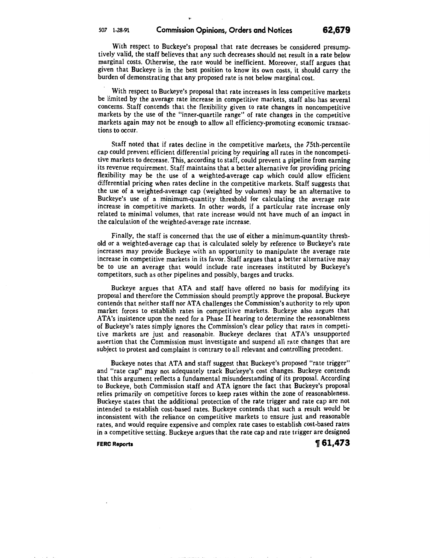,,

With respect to Buckeye's proposal that rate decreases be considered presumptively valid, the staff believes that any such decreases should not result in a rate below marginal costs. Otherwise, the rate would be inefficient. Moreover, staff argues that given that Buckeye is in the best position to know its own costs, it should carry the burden of demonstrating that any proposed rate is not below marginal cost.

With respect to Buckeye's proposal that rate increases in less competitive markets be limited by the average rate increase in competitive markets, staff also has several concerns. Staff contends that the flexibility given to rate changes in noncompetitive markets by the use of the "inner-quartile range" of rate changes in the competitive markets again may not be enough to allow all efficiency-promoting economic transactions to occur.

Staff noted that if rates decline in the competitive markets, the 75th-percentile cap could prevent efficient differential pricing by requiring all rates in the noncompetitive markets to decrease. This, according to staff, could prevent a pipeline from earning its revenue requirement. Staff maintains that a better alternative for providing pricing flexibility may be the use of a weighted-average cap which could allow efficient differential pricing when rates decline in the competitive markets. Staff suggests that the use of a weighted-average cap (weighted by volumes) may be an alternative to Buckeye's use of a minimum-quantity threshold for calculating the average rate increase in competitive markets. In other words, if a particular rate increase only related to minimal volumes, that rate increase would not have much of an impact in the calculation of the weighted-average rate increase.

Finally, the staff is concerned that the use of either a minimum-quantity threshold or a weighted-average cap that is calculated solely by reference to Buckeye's rate increases may provide Buckeye with an opportunity to manipulate the average rate increase in competitive markets in its favor. Staff argues that a better alternative may be to use an average that would include rate increases instituted by Buckeye's competitors, such as other pipelines and possibly, barges and trucks.

Buckeye argues that ATA and staff have offered no basis for modifying its proposal and therefore the Commission should promptly approve the proposal. Buckeye contends that neither staff nor ATA challenges the Commission's authority to rely upon market forces to establish rates in competitive markets. Buckeye also argues that AT A's insistence upon the need for a Phase II hearing to determine the reasonableness of Buckeye's rates simply ignores the Commission's clear policy that rates in competitive markets are just and reasonable. Buckeye declares that ATA's unsupported assertion that the Commission must investigate and suspend all rate changes that are subject to protest and complaint is contrary to all relevant and controlling precedent.

Buckeye notes that ATA and staff suggest that Buckeye's proposed "rate trigger" and "rate cap" may not adequately track Buckeye's cost changes. Buckeye contends that this argument reflects a fundamental misunderstanding of its proposal. According to Buckeye, both Commission staff and ATA ignore the fact that Buckeye's proposal relies primarily on competitive forces to keep rates within the zone of reasonableness. Buckeye states that the additional protection of the rate trigger and rate cap are not intended to establish cost-based rates. Buckeye contends that such a result would be inconsistent with the reliance on competitive markets to ensure just and reasonable rates, and would require expensive and complex rate cases to establish cost-based rates in a competitive setting. Buckeye argues that the rate cap and rate trigger are designed

**FERC Reports**  $\text{ }^{\bullet}$  **61,473**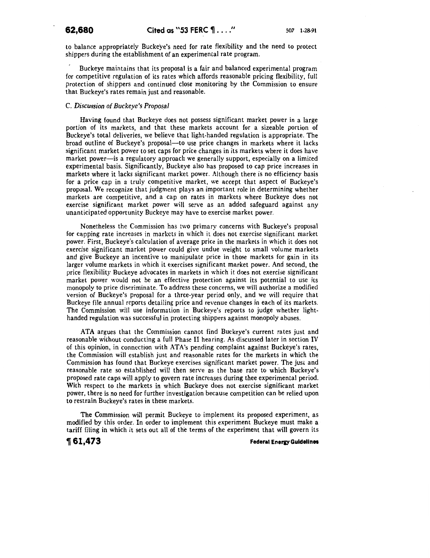to balance appropriately Buckeye's need for rate flexibility and the need to protect shippers during the establishment of an experimental rate program.

Buckeye maintains that its proposal is a fair and balanced experimental program for competitive regulation of its rates which affords reasonable pricing flexibility, full protection of shippers and continued close monitoring by the Commission to ensure that Buckeye's rates remain just and reasonable.

# C. *Discussion of Buckeye's Proposal*

Having found that Buckeye does not possess significant market power in a large portion of its markets, and that these markets account for a sizeable portion of Buckeye's total deliveries, we believe that light-handed regulation is appropriate. The broad outline of Buckeye's proposal-to use price changes in markets where it lacks significant market power to set caps for price changes in its markets where it does have market power--is a regulatory approach we generally support, especially on a limited experimental basis. Significantly, Buckeye also has proposed to cap price increases in markets where it lacks significant market power. Although there is no efficiency basis for a price cap in a truly competitive market, we accept that aspect of Buckeye's proposal. We recognize that judgment plays an important role in determining whether markets are competitive, and a cap on rates in markets where Buckeye does not exercise significant market power will serve as an added safeguard against any unanticipated opportunity Buckeye may have to exercise market power.

Nonetheless the Commission has two primary concerns with Buckeye's proposal for capping rate increases in markets in which it does not exercise significant market power. First, Buckeye's calculation of average price in the markets in which it does not exercise significant market power could give undue weight to small volume markets and give Buckeye an incentive to manipulate price in those markets for gain in its larger volume markets in which it exercises significant market power. And second, the price flexibility Buckeye advocates in markets in which it does not exercise significant market power would not be an effective protection against its potential to use its monopoly to price discriminate. To address these concerns, we will authorize a modified version of Buckeye's proposal for a three-year period only, and we will require that Buckeye file annual reports detailing price and revenue changes in each of its markets. The Commission will use information in Buckeye's reports to judge whether lighthanded regulation was successful in protecting shippers against monopoly abuses.

ATA argues that the Commission cannot find Buckeye's current rates just and reasonable without conducting a full Phase II hearing. As discussed later in section IV of this opinion, in connection with ATA's pending complaint against Buckeye's rates, the Commission will establish just and reasonable rates for the markets in which the Commission has found that Buckeye exercises significant market power. The just and reasonable rate so established will then serve as the base rate to which Buckeye's proposed rate caps will apply to govern rate increases during thee experimental period. With respect to the markets in which Buckeye does not exercise significant market power, there is no need for further investigation because competition can be relied upon to restrain Buckeye's rates in these markets.

The Commission will permit Buckeye to implement its proposed experiment, as modified by this order. In order to implement this experiment Buckeye must make a tariff filing in which it sets out all of the terms of the experiment that will govern its

**,61,473 Federal Eneru Guidelines**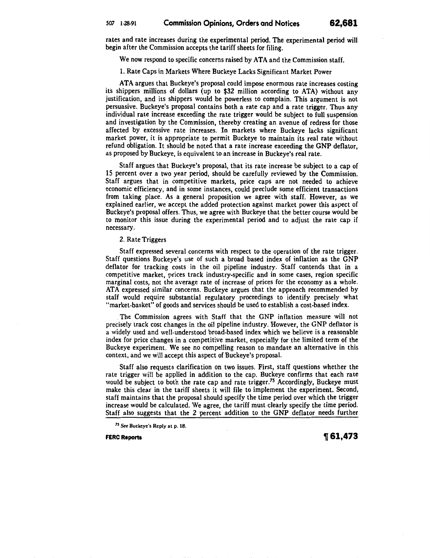rates and rate increases during the experimental period. The experimental period will begin after the Commission accepts the tariff sheets for filing.

We now respond to specific concerns raised by ATA and the Commission staff.

1. Rate Caps in Markets Where Buckeye Lacks Significant Market Power

ATA argues that Buckeye's proposal could impose enormous rate increases costing its shippers millions of dollars (up to \$32 million according to ATA) without any justification, and its shippers would be powerless to complain. This argument is not persuasive. Buckeye's proposal contains both a rate cap and a rate trigger. Thus any individual rate increase exceeding the rate trigger would be subject to full suspension and investigation by the Commission, thereby creating an avenue of redress for those affected by excessive rate increases. In markets where Buckeye lacks significant market power, it is appropriate to permit Buckeye to maintain its real rate without refund obligation. It should be noted that a rate increase exceeding the GNP deflator, as proposed by Buckeye, is equivalent to an increase in Buckeye's real rate.

Staff argues that Buckeye's proposal, that its rate increase be subject to a cap of 15 percent over a two year period, should be carefully reviewed by the Commission. Staff argues that in competitive markets, price caps are not needed to achieve economic efficiency, and in some instances, could preclude some efficient transactions from taking place. As a general proposition we agree with staff. However, as we explained earlier, we accept the added protection against market power this aspect of Buckeye's proposal offers. Thus, we agree with Buckeye that the better course would be to monitor this issue during the experimental period and to adjust the rate cap if necessary.

# 2. Rate Triggers

Staff expressed several concerns with respect to the operation of the rate trigger. Staff questions Buckeye's use of such a broad based index of inflation as the GNP deflator for tracking costs in the oil pipeline industry. Staff contends that in a competitive market, prices track industry-specific and in some cases, region specific marginal costs, not the average rate of increase of prices for the economy as a whole. ATA expressed similar concerns. Buckeye argues that the approach recommended by staff would require substantial regulatory proceedings to identify precisely what "market-basket" of goods and services should be used to establish a cost-based index.

. The Commission agrees with Staff that the GNP inflation measure will not precisely track cost changes in the oil pipeline industry. However, the GNP deflator is a widely used and well-understood broad-based index which we believe is a reasonable index for price changes in a competitive market, especially for the limited term of the Buckeye experiment. We see no compelling reason to mandate an alternative in this context, and we will accept this aspect of Buckeye's proposal.

Staff also requests clarification on two issues. First, staff questions whether the rate trigger will be applied in addition to the cap. Buckeye confirms that each rate would be subject to both the rate cap and rate trigger.<sup>75</sup> Accordingly, Buckeye must make this clear in the tariff sheets it will file to implement the experiment. Second, staff maintains that the proposal should specify the time period over which the trigger increase would be calculated. We agree, the tariff must clearly specify the time period. Staff also suggests that the 2 percent addition to the GNP deflator needs further

<sup>75</sup> See Buckeye's Reply at p. 18.

FERC Reports *T***<sub>61,473</mark>**</sub>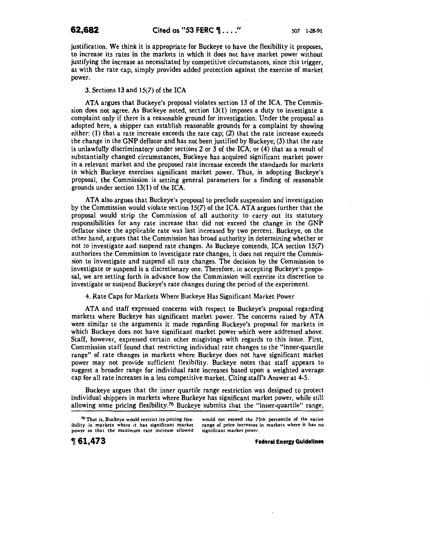justification. We think it is appropriate for Buckeye to have the flexibility it proposes, to increase its rates in the markets in which it does not have market power without justifying the increase as necessitated by competitive circumstances, since this trigger, as with the rate cap, simply provides added protection against the exercise of market power.-

3. Sections 13 and 15(7) of the ICA

ATA argues that Buckeye's proposal violates section 13 of the ICA. The Commission does not agree. As Buckeye noted, section 13(1) imposes a duty to investigate a complaint only if there is a reasonable ground for investigation. Under the proposal as adopted here, a shipper can establish reasonable grounds for a complaint by showing either: (1) that a rate increase exceeds the rate cap; (2) that the rate increase exceeds the change in the GNP deflator and has not been justified by Buckeye; (3) that the rate is unlawfully discriminatory under sections 2 or 3 of the ICA; or  $(4)$  that as a result of substantially changed circumstances, Buckeye has acquired significant market power in a relevant market and the proposed rate increase exceeds the standards for markets in which Buckeye exercises significant market power. Thus, in adopting Buckeye's proposal, the Commission is setting general parameters for a finding of reasonable grounds under section 13(1) of the ICA.

ATA also argues that Buckeye's proposal to preclude suspension and investigation by the Commission would violate section 15(7) of the ICA. ATA argues further that the proposal would strip the Commission of all authority to carry out its statutory responsibilities for any rate increase that did not exceed the change in the GNP deflator since the applicable rate was last increased by two percent. Buckeye, on the other hand, argues that the Commission has broad authority in determining whether or not to investigate and suspend rate changes. As Buckeye contends, ICA section  $15(7)$ authorizes the Commission to investigate rate changes, it does not require the Commission to investigate and suspend all rate changes. The decision by the Commission to investigate or suspend is a discretionary one. Therefore, in accepting Buckeye's proposal, we are setting forth in advance how the Commission will exercise its discretion to investigate or suspend Buckeye's rate changes during the period of the experiment.

4. Rate Caps for Markets Where Buckeye Has Significant Market Power

ATA and staff expressed concerns with respect to Buckeye's proposal regarding markets where Buckeye has significant market power. The concerns raised by ATA were similar to the arguments it made regarding Buckeye's proposal for markets in which Buckeye does not have significant market power which were addressed above. Staff, however, expressed certain other misgivings with regards to this issue. First, Commission staff found that restricting individual rate changes to the "inner-quartile range" of rate changes in markets where Buckeye does not have significant market power may not provide sufficient flexibility. Buckeye notes that staff appears to suggest a broader range for individual rate increases based upon a weighted average cap for all rate increases in a less competitive market. Citing staff's Answer at 4-5.

Buckeye argues that the inner quartile range restriction was designed to protect individual shippers in markets where Buckeye has significant market power, while still allowing some pricing flexibility.<sup>76</sup> Buckeye submits that the "inner-quartile" range,

would not exceed the 75th percentile of the entire range of price increases in markets where it has no significant market power.

**,61,473** 

**Federal Energy Guidelines** 

*<sup>76</sup>* That is, Buckeye would restrict its pricing flexibility in markets where it has significant market power so that the maximum rate increase allowed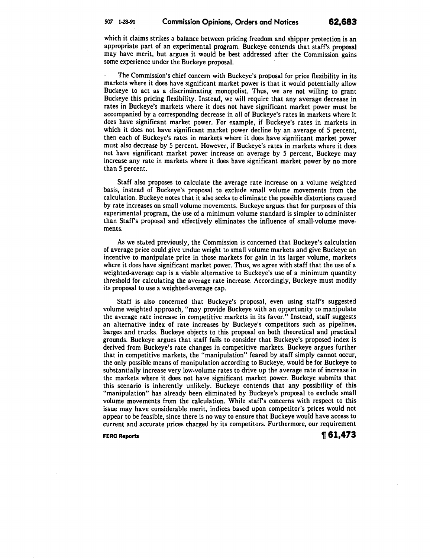which it claims strikes a balance between pricing freedom and shipper protection is an appropriate part of an experimental program. Buckeye contends that staff's proposal may have merit, but argues it would be best addressed after the Commission gains some experience under the Buckeye proposal.

The Commission's chief concern with Buckeye's proposal for price flexibility in its markets where it does have significant market power is that it would potentially allow Buckeye to act as a discriminating monopolist. Thus, we are not willing to grant Buckeye this pricing flexibility. Instead, we will require that any average decrease in rates in Buckeye's markets where it does not have significant market power must be accompanied by a corresponding decrease in all of Buckeye's rates in markets where it does have significant market power. For example, if Buckeye's rates in markets in which it does not have significant market power decline by an average of 5 percent, then each of Buckeye's rates in markets where it does have significant market power must also decrease by 5 percent. However, if Buckeye's rates in markets where it does not have significant market power increase on average by 5 percent, Buckeye may increase any rate in markets where it does have significant market power by no more than 5 percent.

Staff also proposes to calculate the average rate increase on a volume weighted basis, instead of Buckeye's proposal to exclude small volume movements from the calculation. Buckeye notes that it also seeks to eliminate the possible distortions caused by rate increases on small volume movements. Buckeye argues that for purposes of this experimental program, the use of a minimum volume standard is simpler to administer than Staff's proposal and effectively eliminates the influence of small-volume movements.

As we stuted previously, the Commission is concerned that Buckeye's calculation of average price could give undue weight to small volume markets and give Buckeye an incentive to manipulate price in those markets for gain in its larger volume, markets where it does have significant market power. Thus, we agree with staff that the use of a weighted-average cap is a viable alternative to Buckeye's use of a minimum quantity threshold for calculating the average rate increase. Accordingly, Buckeye must modify its proposal to use a weighted-average cap.

Staff is also concerned that Buckeye's proposal, even using staff's suggested volume weighted approach, "may provide Buckeye with an opportunity to manipulate the average rate increase in competitive markets in its favor." Instead, staff suggests an alternative index of rate increases by Buckeye's competitors such as pipelines, barges and trucks. Buckeye objects to this proposal on both theoretical and practical grounds. Buckeye argues that staff fails to consider that Buckeye's proposed index is derived from Buckeye's rate changes in competitive markets. Buckeye argues further that in competitive markets, the "manipulation" feared by staff simply cannot occur, the only possible means of manipulation according to Buckeye, would be for Buckeye to substantially increase very low-volume rates to drive up the average rate of increase in the markets where it does not have significant market power. Buckeye submits that this scenario is inherently unlikely. Buckeye contends that any possibility of this "manipulation" has already been eliminated by Buckeye's proposal to exclude small volume movements from the calculation. While staff's concerns with respect to this issue may have considerable merit, indices based upon competitor's prices would not appear to be feasible, since there is no way to ensure that Buckeye would have access to current and accurate prices charged by its competitors. Furthermore, our requirement

**FERC Reports 1999 1999 1999 1999 1999 1999 1999 1999 1999 1999 1999 1999 1999 1999 1999 1999 1999 1999 1999 1999 1999 1999 1999 1999 1999 1999 1999 1999 1999 199**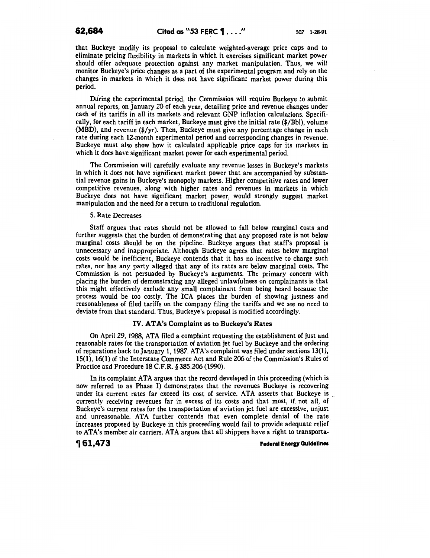that Buckeye modify its proposal to calculate weighted-average price caps and to eliminate pricing flexibility in markets in which it exercises significant market power should offer adequate protection against any market manipulation. Thus, we will monitor Buckeye's price changes as a part of the experimental program and rely on the changes in markets in which it does not have significant market power during this period.

During the experimental period, the Commission will require Buckeye to submit annual reports, on January 20 of each year, detailing price and revenue changes under each of its tariffs in all its markets and relevant GNP inflation calculations. Specifically, for each tariff in each market, Buckeye must give the initial rate (\$/Bbl), volume (MBD), and revenue (\$/yr). Then, Buckeye must give any percentage change in each rate during each 12-month experimental period and corresponding changes in revenue. Buckeye must also show how it calculated applicable price caps for its markets in which it does have significant market power for each experimental period.

The Commission will carefully evaluate any revenue losses in Buckeye's markets in which it does not have significant market power that are accompanied by substantial revenue gains in Buckeye's monopoly markets. Higher competitive rates and lower competitive revenues, along with higher rates and revenues in markets in which Buckeye does not have significant market power, would strongly suggest market manipulation and the need for a return to traditional regulation.

### 5. Rate Decreases

Staff argues that rates should not be allowed to fall below marginal costs and further suggests that the burden of demonstrating that any proposed rate is not below marginal costs should be on the pipeline. Buckeye argues that staff's proposal is unnecessary and inappropriate. Although Buckeye agrees that rates below marginal costs would be inefficient, Buckeye contends that it has no incentive to charge such rales, nor has any party alleged that any of its rates are below marginal costs. The Commission is not persuaded by Buckeye's arguments. The primary concern with placing the burden of demonstrating any alleged unlawfulness on complainants is that this might effectively exclude any small complainant from being heard because the process would be too costly. The ICA places the burden of showing justness and reasonableness of filed tariffs on the company filing the tariffs and we see no need to deviate from that standard. Thus, Buckeye's proposal is modified accordingly.

### IV. ATA's Complaint as to Buckeye's Rates

On April29, 1988, ATA filed a complaint requesting the establishment of just and reasonable rates for the transportation of aviation jet fuel by Buckeye and the ordering of reparations back to January 1, 1987. AT A's complaint was filed under sections 13(1), 15(1), 16(1) of the Interstate Commerce Act and Rule 206 of the Commission's Rules of Practice and Procedure 18 C.F.R. § 385.206 (1990).

In its complaint ATA argues that the record developed in this proceeding (which is now referred to as Phase I) demonstrates that the revenues Buckeye is recovering under its current rates far exceed its cost of service. ATA asserts that Buckeye is currently receiving revenues far in excess of its costs and that most, if not all, of Buckeye's current rates for the transportation of aviation jet fuel are excessive, unjust and unreasonable. ATA further contends that even complete denial of the rate increases proposed by Buckeye in this proceeding would fail to provide adequate relief to AT A's member air carriers. ATA argues that all shippers have a right to transporta-

**,61,473 Federal Eneru Guidelines**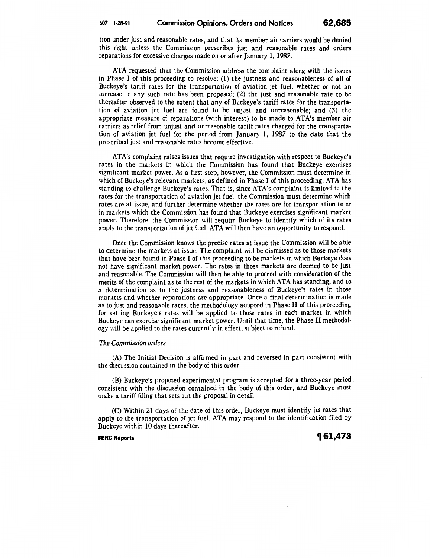tion under just and reasonable rates, and that its member air carriers would be denied this right unless the Commission prescribes just and reasonable rates and orders reparations for excessive charges made on or after January 1, 1987.

ATA requested that the Commission address the complaint along with the issues in Phase I of this proceeding to resolve: (1) the justness and reasonableness of all of Buckeye's tariff rates for the transportation of aviation jet fuel, whether or not an increase to any such rate has been proposed; (2) the just and reasonable rate to be thereafter observed to the extent that any of Buckeye's tariff rates for the transportation of aviation jet fuel are found to be unjust and unreasonable; and (3) the appropriate measure of reparations (with interest) to be made to ATA's member air carriers as relief from unjust and unreasonable tariff rates charged for the transportation of aviation jet fuel for the period from January **1,** 1987 to the date that the prescribed just and reasonable rates become effective.

AT A's complaint raises issues that require investigation with respect to Buckeye's rates in the markets in which the Commission has found that Buckeye exercises significant market power. As a first step, however, the Commission must determine in which of Buckeye's relevant markets, as defined in Phase I of this proceeding, ATA has standing to challenge Buckeye's rates. That is, since ATA's complaint is limited to the rates for the transportation of aviation jet fuel, the Commission must determine which rates are at issue, and further determine whether the rates are for transportation to or in markets which the Commission has found that Buckeye exercises significant market power. Therefore, the Commission will require Buckeye to identify which of its rates apply to the transportation of jet fuel. ATA will then have an opportunity to respond.

Once the Commission knows the precise rates at issue the Commission will be able to determine the markets at issue. The complaint will be dismissed as to those markets that have been found in Phase I of this proceeding to be markets in which Buckeye does not have significant market power. The rates in those markets are deemed to be just and reasonable. The Commission will then be able to proceed with consideration of the merits of the complaint as to the rest of the markets in which ATA has standing, and to a determination as to the justness and reasonableness of Buckeye's rates in those markets and whether reparations are appropriate. Once a final determination is made as to just and reasonable rates, the methodology adopted in Phase II of this proceeding for setting Buckeye's rates will be applied to those rates in each market in which Buckeye can exercise significant market power. Until that time, the Phase II methodology will be applied to the rates currently in effect, subject to refund.

## *The Commission orders:*

(A) The Initial Decision is affirmed in part and reversed in part consistent with the discussion contained in the body of this order.

(B) Buckeye's proposed experimental program is accepted for a three-year period consistent with the discussion contained in the body of this order, and Buckeye must make a tariff filing that sets out the proposal in detail.

(C) Within 21 days of the date of this order, Buckeye must identify its rates that apply to the transportation of jet fuel. ATA may respond to the identification filed by Buckeye within 10 days thereafter.

**FERC Reports 161,473**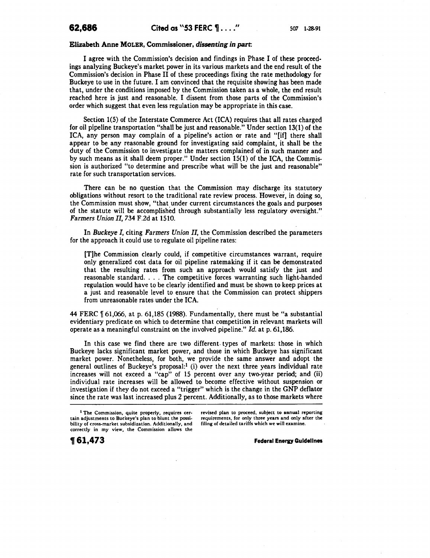### Elizabeth Anne MOLER, Commissioner, *dissenting in part:*

I agree with the Commission's decision and findings in Phase I of these proceedings analyzing Buckeye's market power in its various markets and the end result of the Commission's decision in Phase II of these proceedings fixing the rate methodology for Buckeye to use in the future. I am convinced that the requisite showing has been made that, under the conditions imposed by the Commission taken as a whole, the end result reached here is just and reasonable. I dissent from those parts of the Commission's order which suggest that even less regulation may be appropriate in this case.

Section 1(5) of the Interstate Commerce Act (ICA) requires that all rates charged for oil pipeline transportation "shall be just and reasonable." Under section 13(1) of the ICA, any person may complain of a pipeline's action or rate and "[if] there shall appear to be any reasonable ground for investigating said complaint, it shall be the duty of the Commission to investigate the matters complained of in such manner and by such means as it shall deem proper." Under section 15(1) of the ICA, the Commission is authorized "to determine and prescribe what will be the just and reasonable" rate for such transportation services.

There can be no question that the Commission may discharge its statutory obligations without resort to the traditional rate review process. However, in doing so, the Commission must show, "that under current circumstances the goals and purposes of the statute will be accomplished through substantially less regulatory oversight." *Farmers Union II,* 734 F.2d at 1510.

In *Buckeye I,* citing *Farmers Union II,* the Commission described the parameters for the approach it could use to regulate oil pipeline rates:

[T]he Commission clearly could, if competitive circumstances warrant, require only generalized cost data for oil pipeline ratemaking if it can be demonstrated that the resulting rates from such an approach would satisfy the just and reasonable standard. ... The competitive forces warranting such light-handed regulation would have to be clearly identified and must be shown to keep prices at a just and reasonable level to ensure that the Commission can protect shippers from unreasonable rates under the ICA.

44 FERC  $\parallel$  61,066, at p. 61,185 (1988). Fundamentally, there must be "a substantial evidentiary predicate on which to determine that competition in relevant markets will operate as a meaningful constraint on the involved pipeline." *Id.* at p. 61,186.

In this case we find there are two different. types of markets: those in which Buckeye lacks significant market power, and those in which Buckeye has significant market power. Nonetheless, for both, we provide the same answer and adopt the general outlines of Buckeye's proposal:<sup>1</sup> (i) over the next three years individual rate increases will not exceed a "cap" of 15 percent over any two-year period; and (ii) individual rate increases will be allowed to become effective without suspension or investigation if they do not exceed a "trigger" which is the change in the GNP deflator since the rate was last increased plus 2 percent. Additionally, as to those markets where

revised plan to proceed, subject to annual reporting requirements, for only three years and only after the filing of detailed tariffs which we will examine.

**Federal Energy Guidelines** 

<sup>1</sup> The Commission, quite properly, requires certain adjustments to Buckeye's plan to blunt the possibility of cross-market subsidization. Additionally, and correctly in my view, the Commission allows the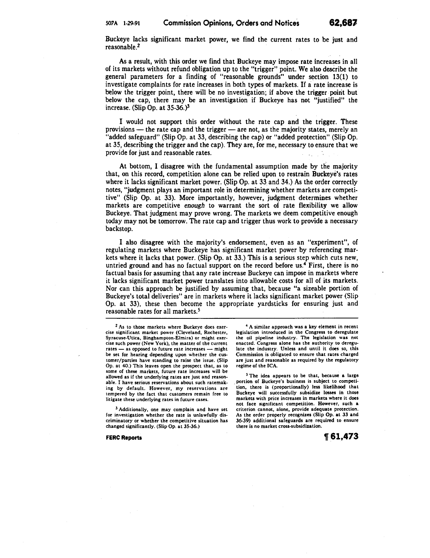Buckeye lacks significant market power, we find the current rates to be just and reasonable.2

As a result, with this order we find that Buckeye may impose rate increases in all of its markets without refund obligation up to the "trigger" point. We also deseribe the general parameters for a finding of "reasonable grounds" under section 13(1) to investigate complaints for rate increases in both types of markets. If a rate increase is below the trigger point, there will be no investigation; if above the trigger. poirit but below the cap, there may be an investigation if Buckeye has not "justified" the increase. (Slip Op. at 35-36.)3

I would not support this order without the rate cap and the trigger. These provisions  $-$  the rate cap and the trigger  $-$  are not, as the majority states, merely an "added safeguard" (Slip Op. at 33, describing the cap) or "added protection" (Slip Op. at 35, describing the trigger and the cap). They are, for me, necessary to ensure that we provide for just and reasonable rates.

At bottom, I disagree with the fundamental assumption made by the majority that, on this record, competition alone can be relied upon to restrain Buckeye's rates where it lacks significant market power. (Slip Op. at 33 and 34.) As the order correctly notes, "judgment plays an important role in determining whether markets are competitive" (Slip Op. at 33). More importantly, however, judgment determines whether markets are competitive *enough* to warrant the sort of rate flexibility we allow Buckeye. That judgment may prove wrong. The markets we deem competitive enough today may not be tomorrow. The rate cap and trigger thus work to provide a necessary backstop.

I also disagree with the majority's endorsement, even as an "experiment", of regulating markets where Buckeye has significant market power by referencing markets where it lacks that power. (Slip Op. at 33.) This is a serious step which cuts new, untried ground and has no factual support on the record before us.4 First, there is no factual basis for assuming that any rate increase Buckeye can impose in markets where it lacks significant market power translates into allowable costs for all of its markets. Nor can this approach be justified by assuming that, because "a sizeable portion of Buckeye's total deliveries" are in markets where it lacks significant market power (Slip Op. at 33), these then become the appropriate yardsticks for ensuring just and reasonable rates for all markets.5

<sup>2</sup>As to those markets where Buckeye does exercise significant market power (Cleveland, Rochester, Syracuse-Utica, Binghampton-Elmira) or might exercise such power (New York), the matter of the current rates - as opposed to future rate increases - might be set for hearing depending upon whether the customer/parties have standing to raise the issue. (Slip Op. at 40.) This leaves open the prospect that, as to some of these markets, future rate increases will be allowed as if the underlying rates are just and reasonable. I have serious reservations about such ratemaking by default. However, my reservations are tempered by the fact that customers remain free to litigate these underlying rates in future cases.

3 Additionally, one may complain and have set for investigation whether the rate is unlawfully discriminatory or whether the competitive situation has changed significantly. (Slip Op. at 35-36.)

FERC Reports

4 A similar approach was a key element in recent legislation introduced in the Congress to deregulate the oil pipeline industry. The legislation was not enacted. Congress alone has the authority to deregulate the industry. Unless and until it does so, this Commission is obligated to ensure that rates charged are just and reasonable as required by the regulatory regime of the ICA.

5 The idea appears to be that, because a large portion of Buckeye's business is subject to competi- . tion, there is (proportionally) less likelihood that Buckeye will successfully subsidize losses in those markets with price increases in markets where it does not face significant competition. However, such a criterion cannot, alone, provide adequate protection. As the order properly recognizes (Slip Op. at 33 and 36-39) additional safeguards are required to ensure there is no market cross-subsidization.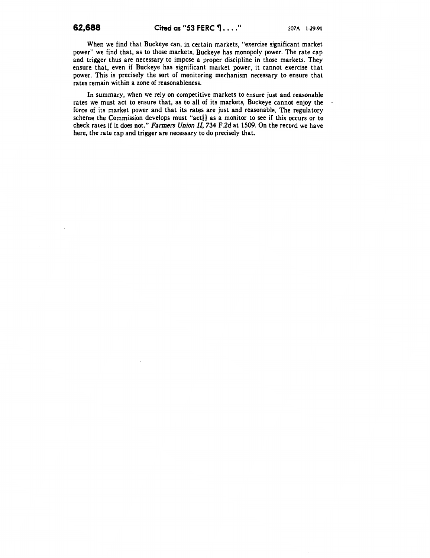When we find that Buckeye can, in certain markets, "exercise significant market power" we find that, as to those markets, Buckeye has monopoly power. The rate cap and trigger thus are necessary to impose a proper discipline in those markets. They ensure. that, even if Buckeye has significant market power, it cannot exercise that power. This is precisely the sort of monitoring mechanism necessary to ensure that rates remain within a zone of reasonableness.

In summary, when we rely on competitive markets to ensure just and reasonable rates we must act to ensure that, as to all of its markets, Buckeye cannot enjoy the force of its market power and that its rates are just and reasonable. The regulatory scheme the Commission develops must "act[] as a monitor to see if this occurs or to check rates if it does not." *Farmers Union II,* 734 F.2d at 1509. On the record we have here, the rate cap and trigger are necessary to do precisely that.